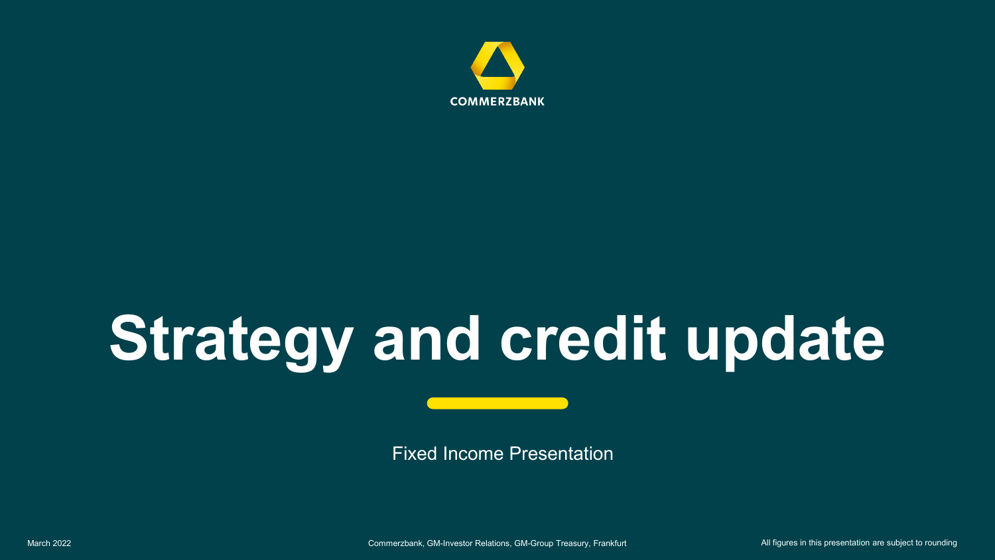

# **Strategy and credit update**

Fixed Income Presentation

March 2022 **Commerzbank, GM-Investor Relations, GM-Group Treasury, Frankfurt** All figures in this presentation are subject to rounding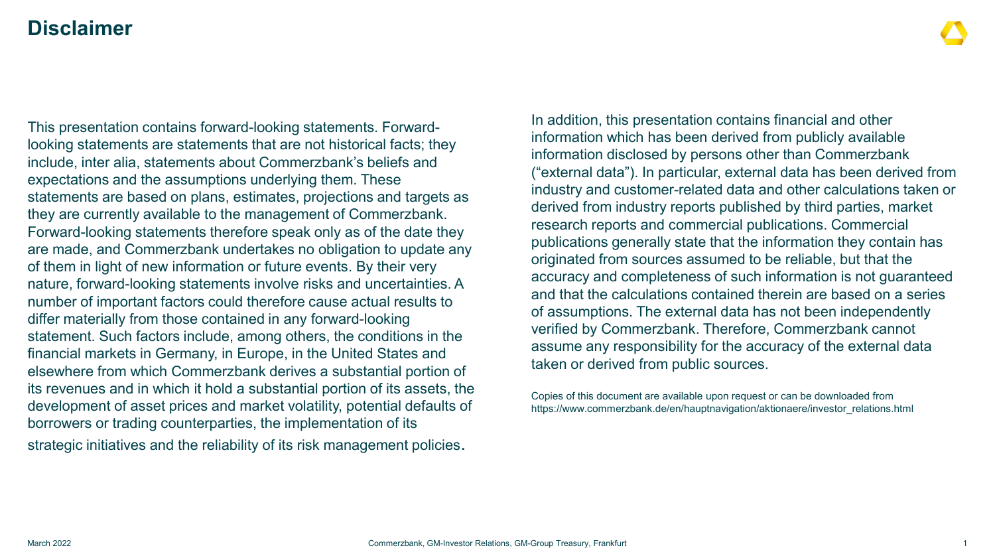### **Disclaimer**

This presentation contains forward-looking statements. Forwardlooking statements are statements that are not historical facts; they include, inter alia, statements about Commerzbank's beliefs and expectations and the assumptions underlying them. These statements are based on plans, estimates, projections and targets as they are currently available to the management of Commerzbank. Forward-looking statements therefore speak only as of the date they are made, and Commerzbank undertakes no obligation to update any of them in light of new information or future events. By their very nature, forward-looking statements involve risks and uncertainties. A number of important factors could therefore cause actual results to differ materially from those contained in any forward-looking statement. Such factors include, among others, the conditions in the financial markets in Germany, in Europe, in the United States and elsewhere from which Commerzbank derives a substantial portion of its revenues and in which it hold a substantial portion of its assets, the development of asset prices and market volatility, potential defaults of borrowers or trading counterparties, the implementation of its strategic initiatives and the reliability of its risk management policies.

In addition, this presentation contains financial and other information which has been derived from publicly available information disclosed by persons other than Commerzbank ("external data"). In particular, external data has been derived from industry and customer-related data and other calculations taken or derived from industry reports published by third parties, market research reports and commercial publications. Commercial publications generally state that the information they contain has originated from sources assumed to be reliable, but that the accuracy and completeness of such information is not guaranteed and that the calculations contained therein are based on a series of assumptions. The external data has not been independently verified by Commerzbank. Therefore, Commerzbank cannot assume any responsibility for the accuracy of the external data taken or derived from public sources.

Copies of this document are available upon request or can be downloaded from https://www.commerzbank.de/en/hauptnavigation/aktionaere/investor\_relations.html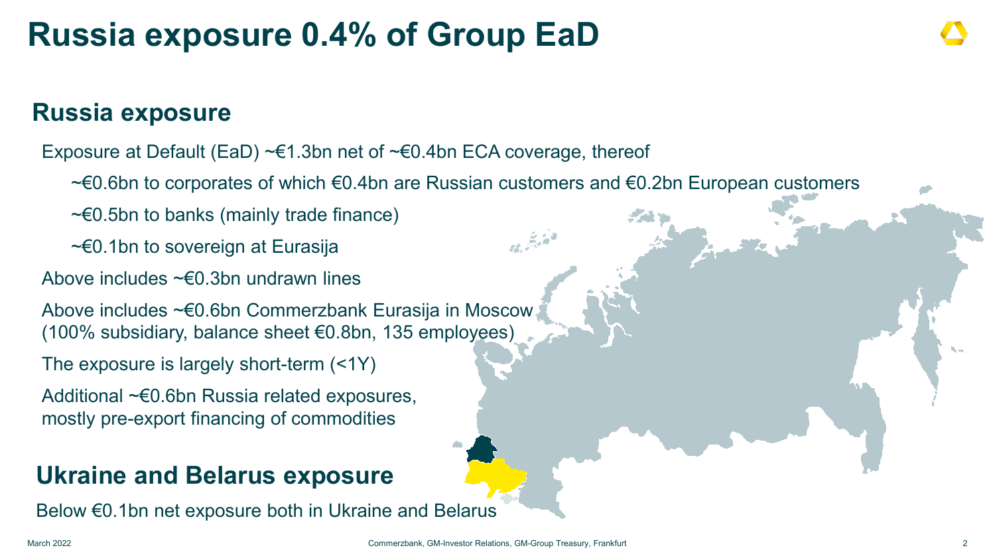### **Russia exposure 0.4% of Group EaD**

### **Russia exposure**

Exposure at Default (EaD)  $\neg \in 1.3$ bn net of  $\neg \in 0.4$ bn ECA coverage, thereof

~€0.6bn to corporates of which €0.4bn are Russian customers and €0.2bn European customers

法会计

~€0.5bn to banks (mainly trade finance)

~€0.1bn to sovereign at Eurasija

Above includes ~€0.3bn undrawn lines

Above includes ~€0.6bn Commerzbank Eurasija in Moscow (100% subsidiary, balance sheet €0.8bn, 135 employees)

The exposure is largely short-term (<1Y)

Additional ~€0.6bn Russia related exposures, mostly pre-export financing of commodities

### **Ukraine and Belarus exposure**

Below €0.1bn net exposure both in Ukraine and Belarus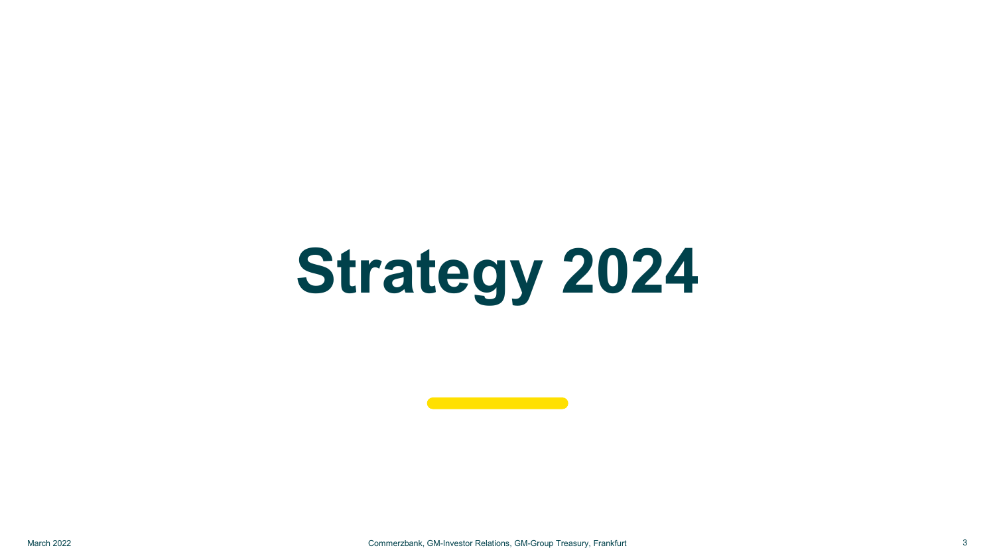# **Strategy 2024**

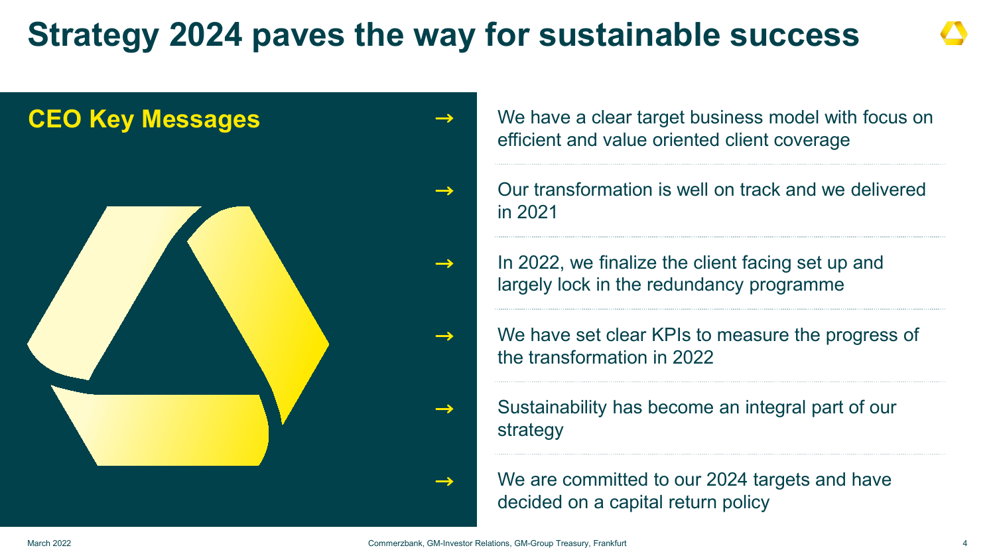### **Strategy 2024 paves the way for sustainable success**



efficient and value oriented client coverage

Our transformation is well on track and we delivered in 2021

In 2022, we finalize the client facing set up and largely lock in the redundancy programme

We have set clear KPIs to measure the progress of the transformation in 2022

Sustainability has become an integral part of our strategy

We are committed to our 2024 targets and have decided on a capital return policy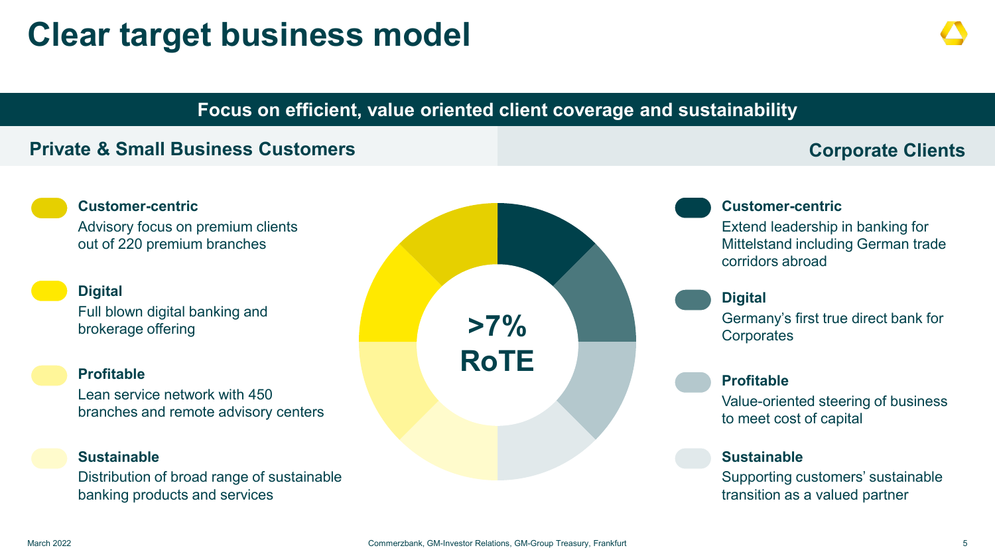### **Clear target business model**

### **Focus on efficient, value oriented client coverage and sustainability**

#### **Private & Small Business Customers Community Construction Community Construction Community Community Community**

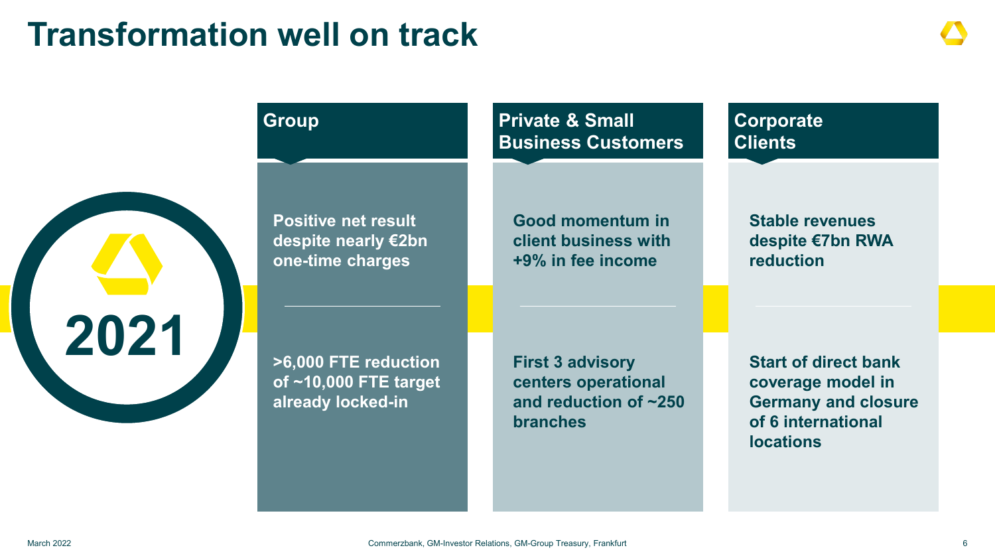### **Transformation well on track**

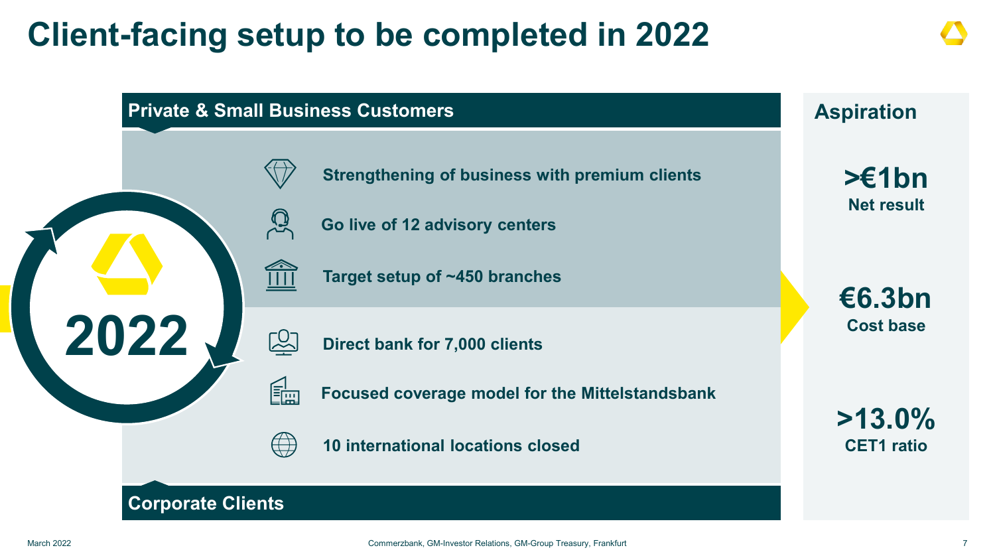### **Client-facing setup to be completed in 2022**

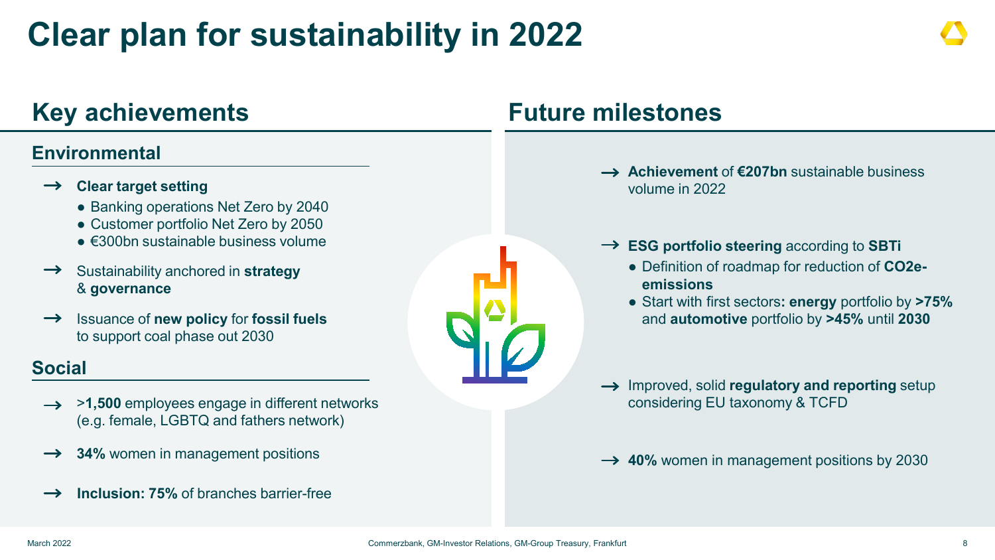### **Clear plan for sustainability in 2022**

### **Key achievements Future milestones**

### **Environmental**

#### **Clear target setting**

- Banking operations Net Zero by 2040
- Customer portfolio Net Zero by 2050
- $\bullet$   $\epsilon$ 300bn sustainable business volume
- $\rightarrow$ Sustainability anchored in **strategy** & **governance**
- Issuance of **new policy** for **fossil fuels**   $\rightarrow$ to support coal phase out 2030

### **Social**

- → >1,500 employees engage in different networks (e.g. female, LGBTQ and fathers network)
- **34%** women in management positions  $\rightarrow$
- **Inclusion: 75%** of branches barrier-free  $\rightarrow$

- **Achievement** of **€207bn** sustainable business volume in 2022
- **ESG portfolio steering** according to **SBTi**
	- Definition of roadmap for reduction of **CO2eemissions**
	- Start with first sectors**: energy** portfolio by **>75%**  and **automotive** portfolio by **>45%** until **2030**
- $\rightarrow$  Improved, solid **regulatory and reporting** setup considering EU taxonomy & TCFD

**→ 40%** women in management positions by 2030

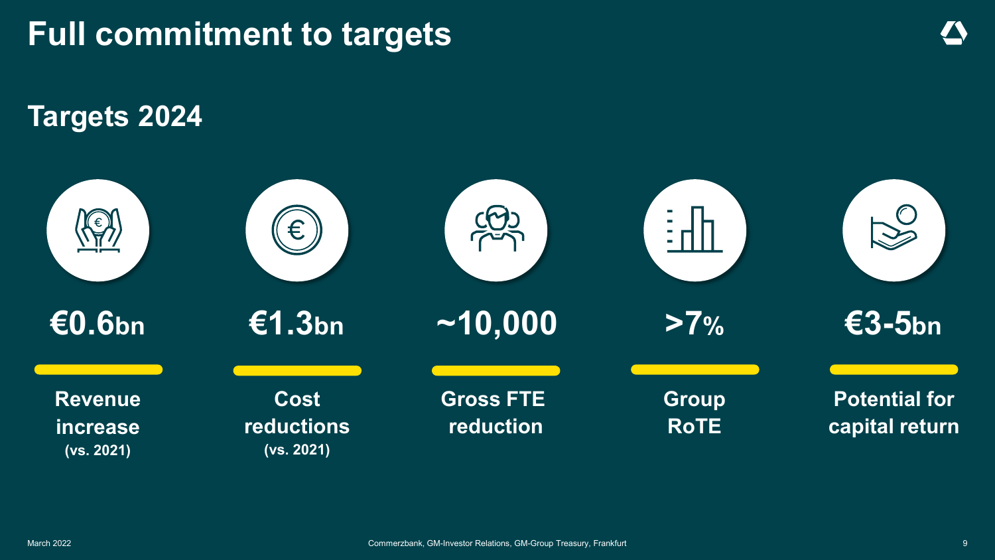

**Targets 2024**

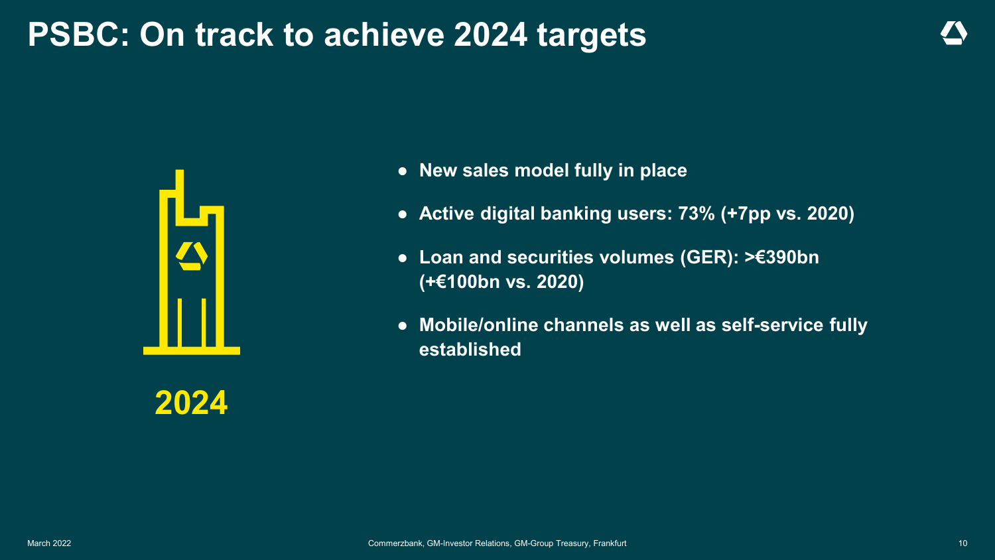### **PSBC: On track to achieve 2024 targets**



● **New sales model fully in place**

- **Active digital banking users: 73% (+7pp vs. 2020)**
- **Loan and securities volumes (GER): >€390bn (+€100bn vs. 2020)**
- **Mobile/online channels as well as self-service fully established**

**2024**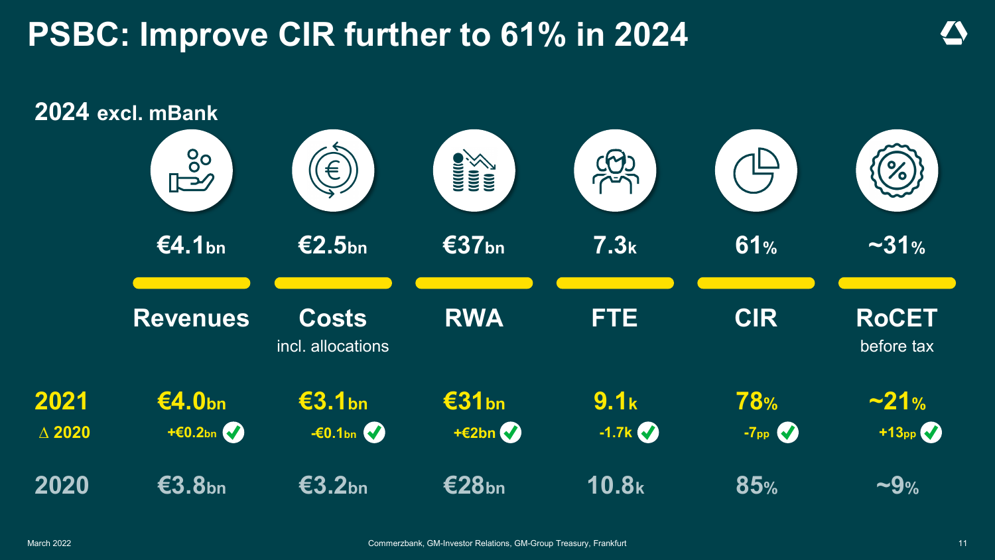### **PSBC: Improve CIR further to 61% in 2024**

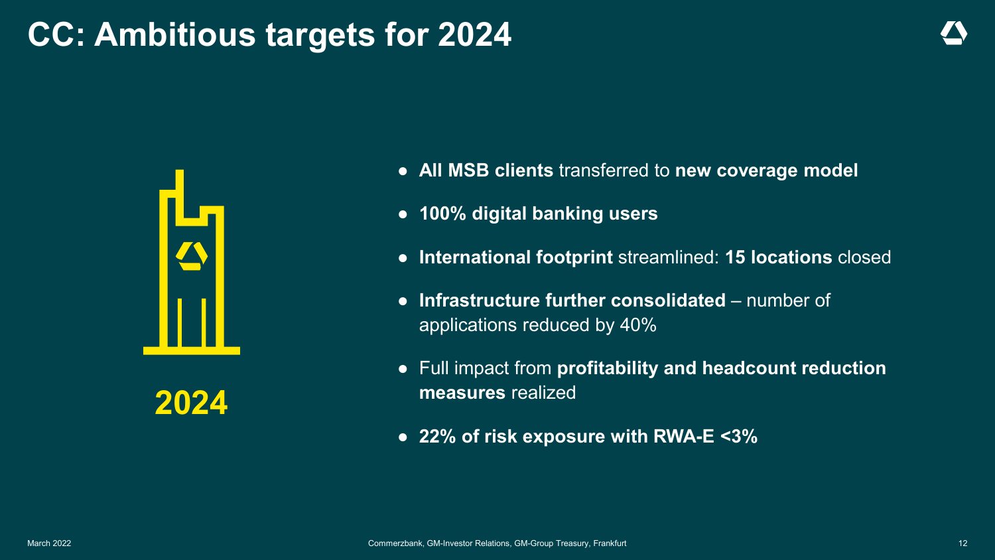### **CC: Ambitious targets for 2024**



**2024**

- **All MSB clients** transferred to **new coverage model**
- **100% digital banking users**
- **International footprint** streamlined: **15 locations** closed
- **Infrastructure further consolidated** number of applications reduced by 40%
- Full impact from **profitability and headcount reduction measures** realized
- **22% of risk exposure with RWA-E <3%**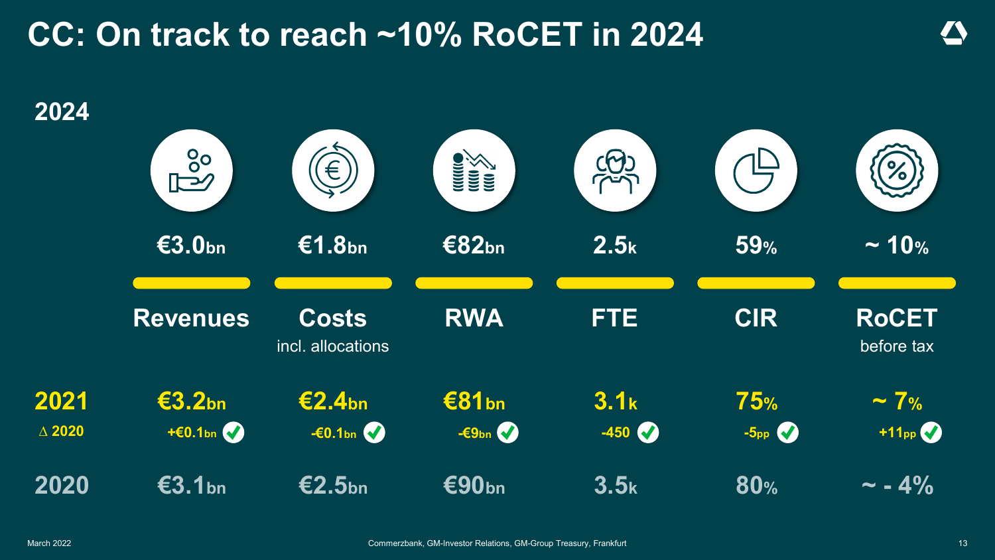### **CC: On track to reach ~10% RoCET in 2024**

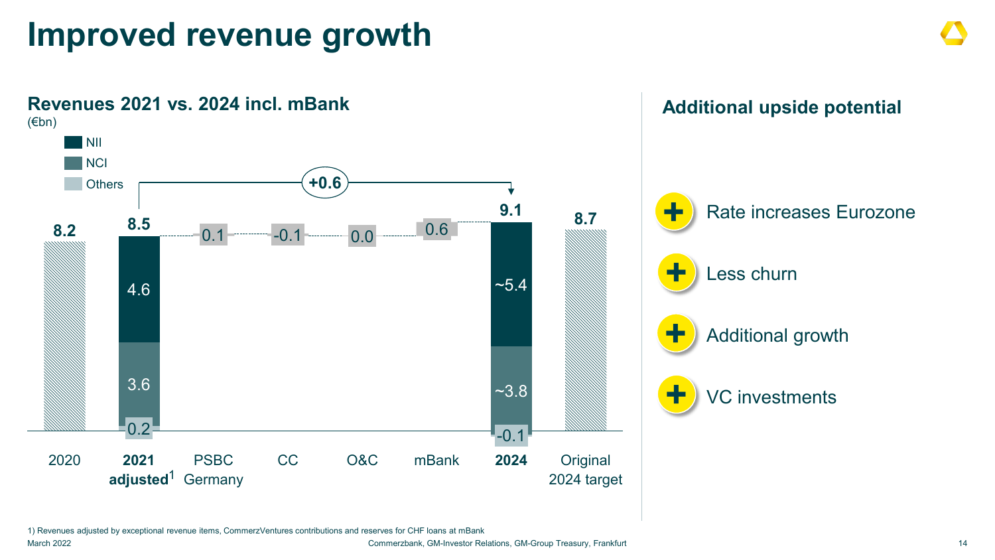### **Improved revenue growth**



1) Revenues adjusted by exceptional revenue items, CommerzVentures contributions and reserves for CHF loans at mBank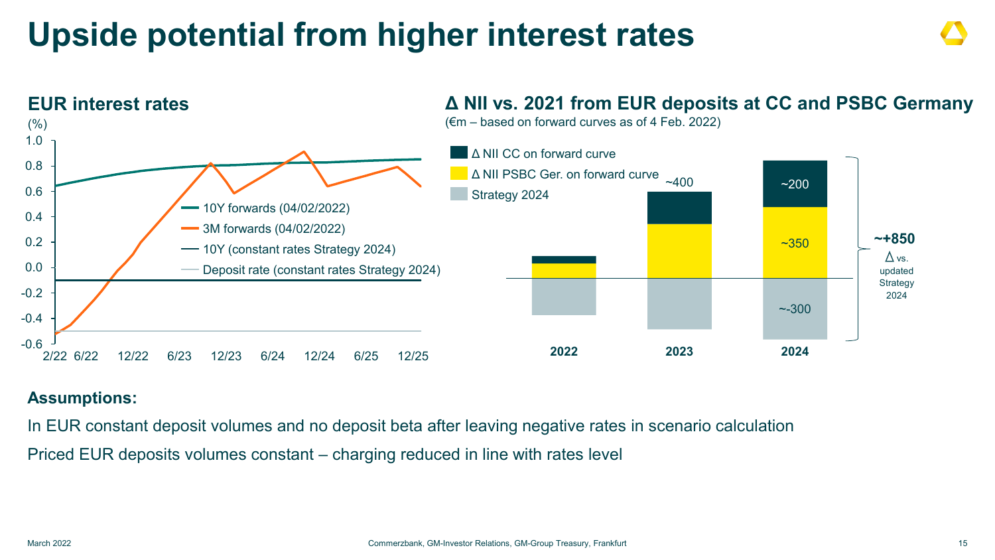### **Upside potential from higher interest rates**



### **Δ NII vs. 2021 from EUR deposits at CC and PSBC Germany**

#### **Assumptions:**

In EUR constant deposit volumes and no deposit beta after leaving negative rates in scenario calculation Priced EUR deposits volumes constant – charging reduced in line with rates level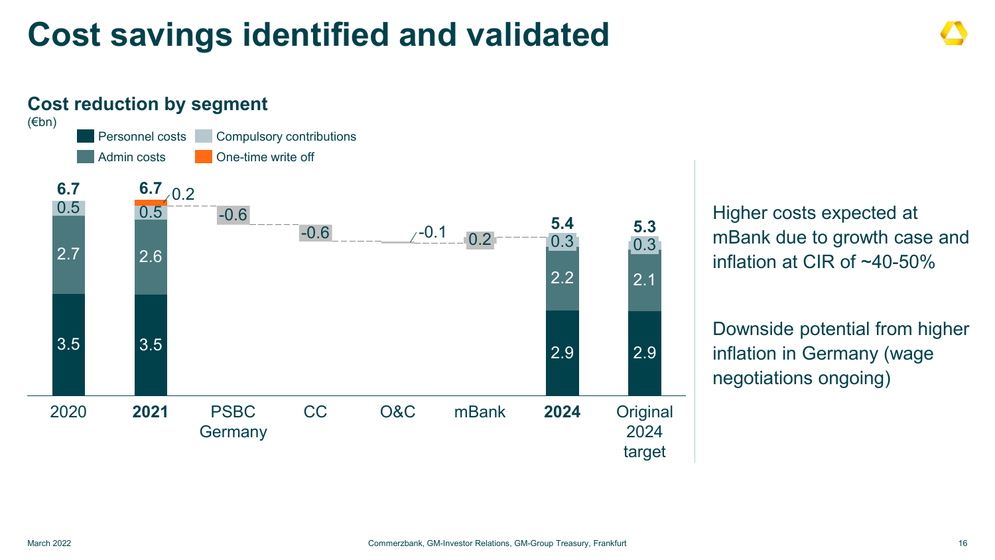### **Cost savings identified and validated**

#### 0.5 **2024** -0.6 **Original** 2024 target 2020 **2021** PSBC CC **Germany** -0.6 O&C mBank 0.2 **5.4** 2.2 0.3  $/ -0.1$ **2021 6.7 6.7** 0.2 **5.3** 2.7 3.5 0.5 2.6 3.5 2.9 2.1 2.9 0.3 Admin costs Personnel costs Compulsory contributions One-time write off **Cost reduction by segment** (€bn)

Higher costs expected at mBank due to growth case and inflation at CIR of ~40-50%

Downside potential from higher inflation in Germany (wage negotiations ongoing)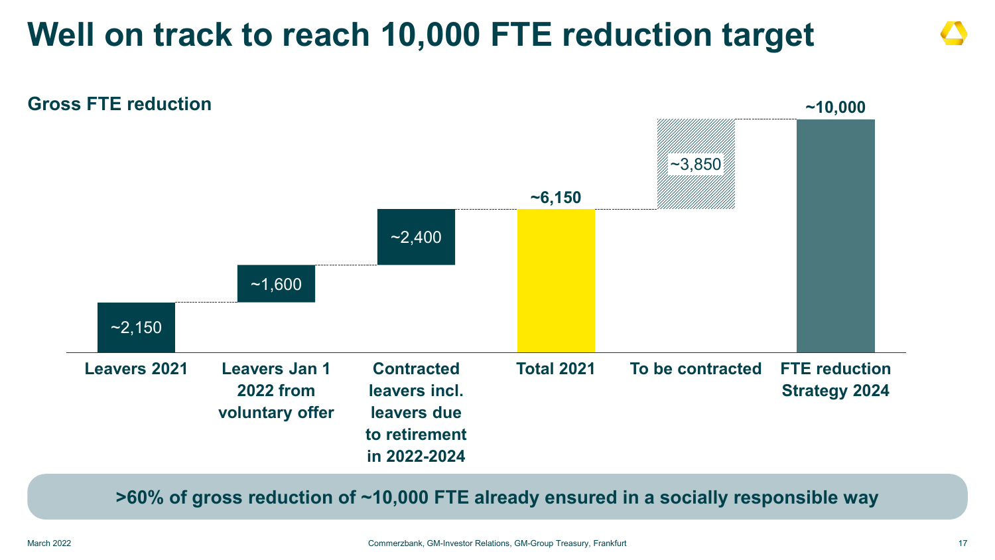### **Well on track to reach 10,000 FTE reduction target**



**>60% of gross reduction of ~10,000 FTE already ensured in a socially responsible way**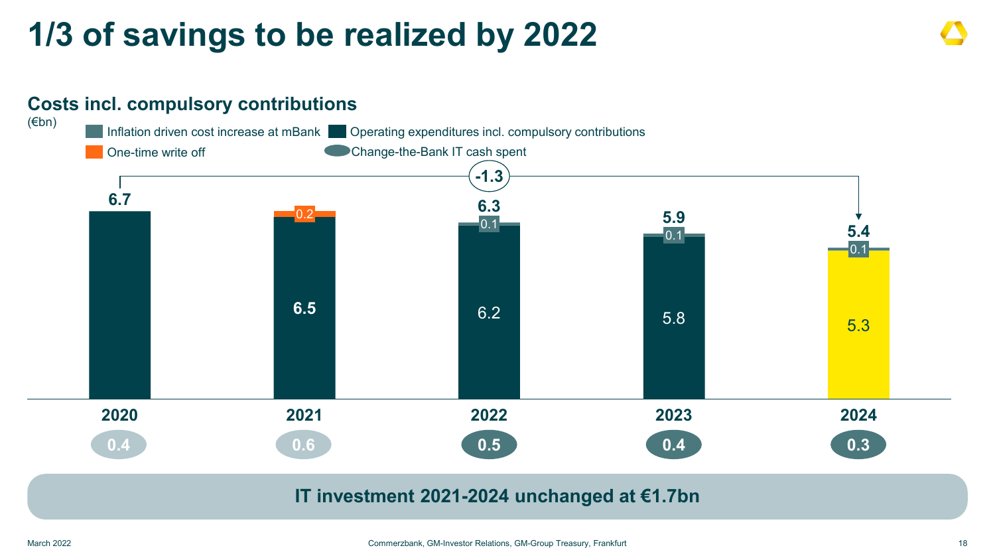### **1/3 of savings to be realized by 2022**

### **Costs incl. compulsory contributions**



#### **IT investment 2021-2024 unchanged at €1.7bn**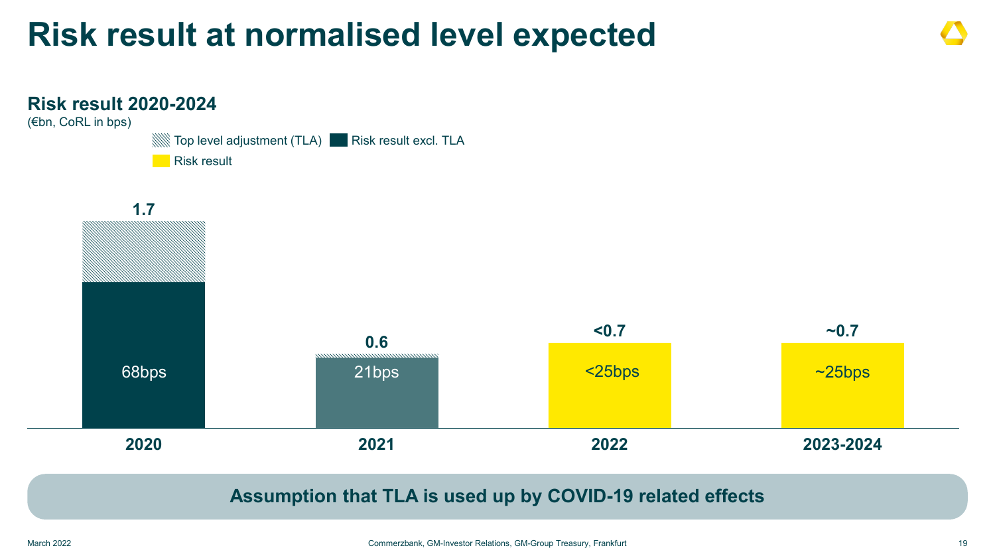### **Risk result at normalised level expected**



**Assumption that TLA is used up by COVID-19 related effects**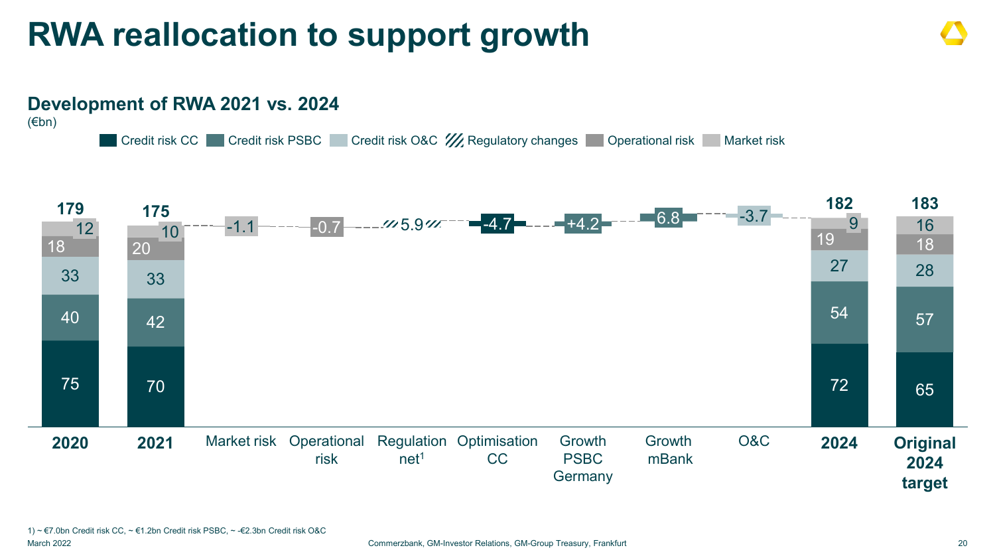### **RWA reallocation to support growth**

#### 75 70 72 65  $40$   $42$   $57$ 33 33 27 28 18 20 20 20 18 -1.1 -0.7 16 +4.2 5.9 -4.7 Market risk Operational Regulation Optimisation risk net<sup>1</sup> CC Growth PSBC **Germany** Growth mBank O&C 9 **2024 Original 2024 target 2021**  $\begin{array}{|c|c|c|}\n\hline\n12 & 20\n\end{array}$ **2020** -3.7 **<sup>183</sup> <sup>179</sup> <sup>175</sup> <sup>182</sup>** 6.8 Credit risk CC Credit risk PSBC Credit risk O&C  $\frac{1}{2}$  Regulatory changes Operational risk Market risk **Development of RWA 2021 vs. 2024** (€bn)

1) ~ €7.0bn Credit risk CC, ~ €1.2bn Credit risk PSBC, ~ -€2.3bn Credit risk O&C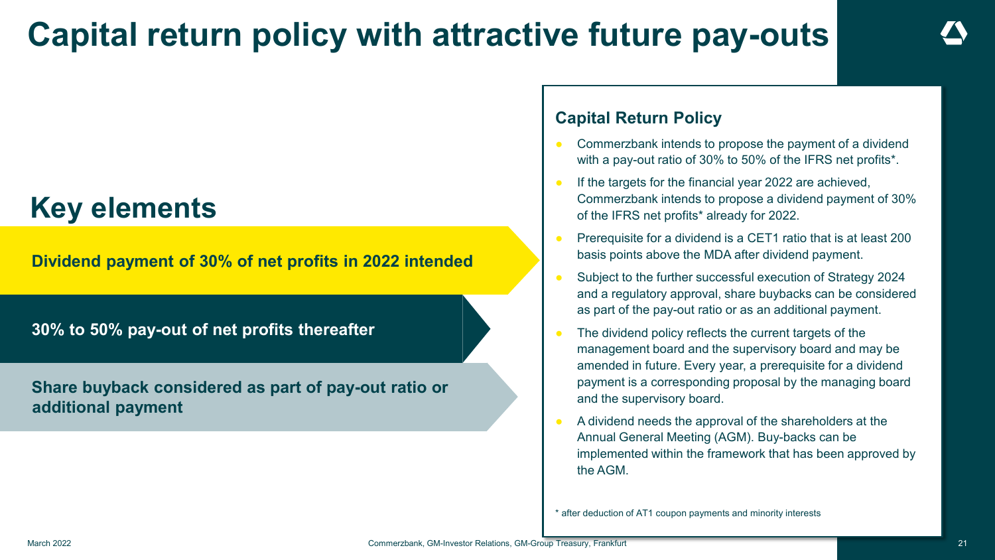### **Capital return policy with attractive future pay-outs**

### **Key elements**

**Dividend payment of 30% of net profits in 2022 intended**

**30% to 50% pay-out of net profits thereafter**

**Share buyback considered as part of pay-out ratio or additional payment**

#### **Capital Return Policy**

- Commerzbank intends to propose the payment of a dividend with a pay-out ratio of 30% to 50% of the IFRS net profits\*.
- If the targets for the financial year 2022 are achieved, Commerzbank intends to propose a dividend payment of 30% of the IFRS net profits\* already for 2022.
- Prerequisite for a dividend is a CET1 ratio that is at least 200 basis points above the MDA after dividend payment.
- Subject to the further successful execution of Strategy 2024 and a regulatory approval, share buybacks can be considered as part of the pay-out ratio or as an additional payment.
- The dividend policy reflects the current targets of the management board and the supervisory board and may be amended in future. Every year, a prerequisite for a dividend payment is a corresponding proposal by the managing board and the supervisory board.
- A dividend needs the approval of the shareholders at the Annual General Meeting (AGM). Buy-backs can be implemented within the framework that has been approved by the AGM.

\* after deduction of AT1 coupon payments and minority interests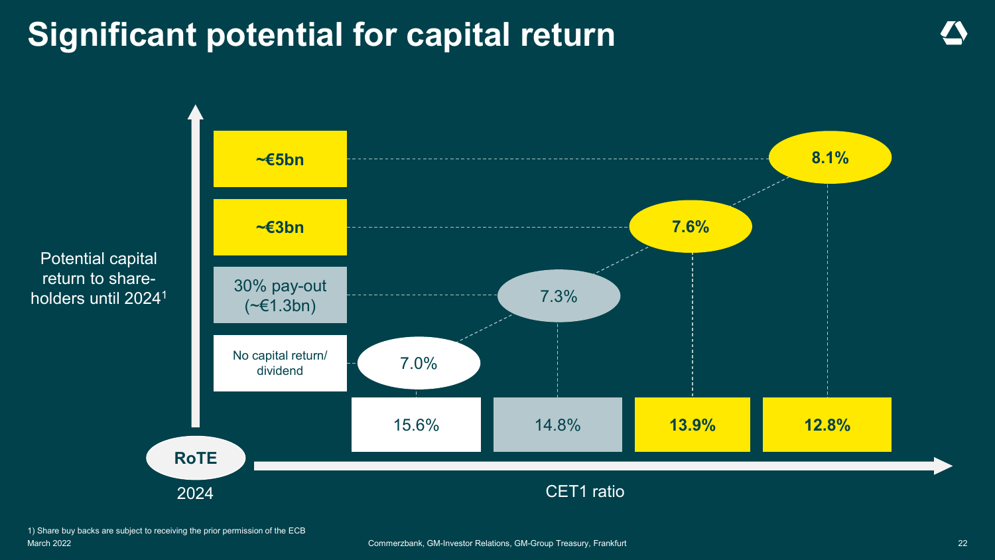### **Significant potential for capital return**

Potential capital return to shareholders until 2024<sup>1</sup> 7.0% **7.6%** CET1 ratio 15.6% 14.8% **13.9% 12.8% ~€5bn 8.1% ~€3bn** 30% pay-out (~€1.3bn) No capital return/ dividend **RoTE** 2024

1) Share buy backs are subject to receiving the prior permission of the ECB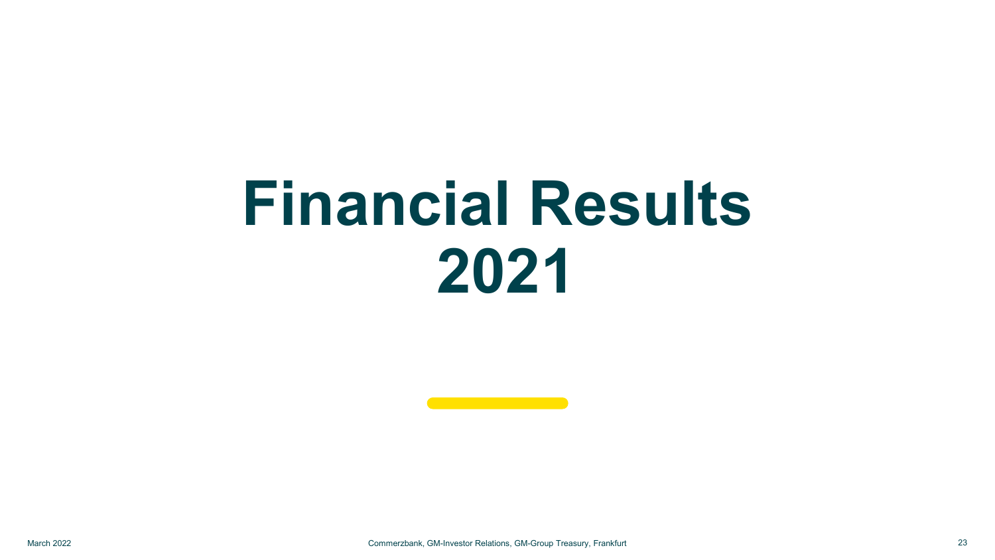# **Financial Results 2021**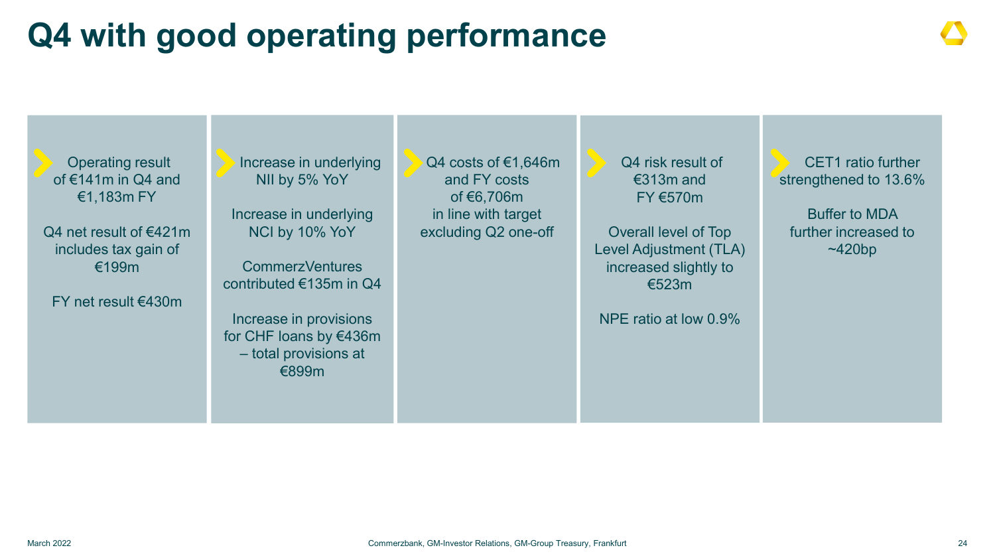## **Q4 with good operating performance**

Operating result of €141m in Q4 and €1,183m FY

Q4 net result of €421m includes tax gain of €199m

FY net result €430m

Increase in underlying NII by 5% YoY

Increase in underlying NCI by 10% YoY

CommerzVentures contributed €135m in Q4

Increase in provisions for CHF loans by €436m – total provisions at €899m

Q4 costs of €1,646m and FY costs of €6,706m in line with target excluding Q2 one-off

Q4 risk result of €313m and FY €570m

Overall level of Top Level Adjustment (TLA) increased slightly to €523m

NPE ratio at low 0.9%

CET1 ratio further strengthened to 13.6%

Buffer to MDA further increased to ~420bp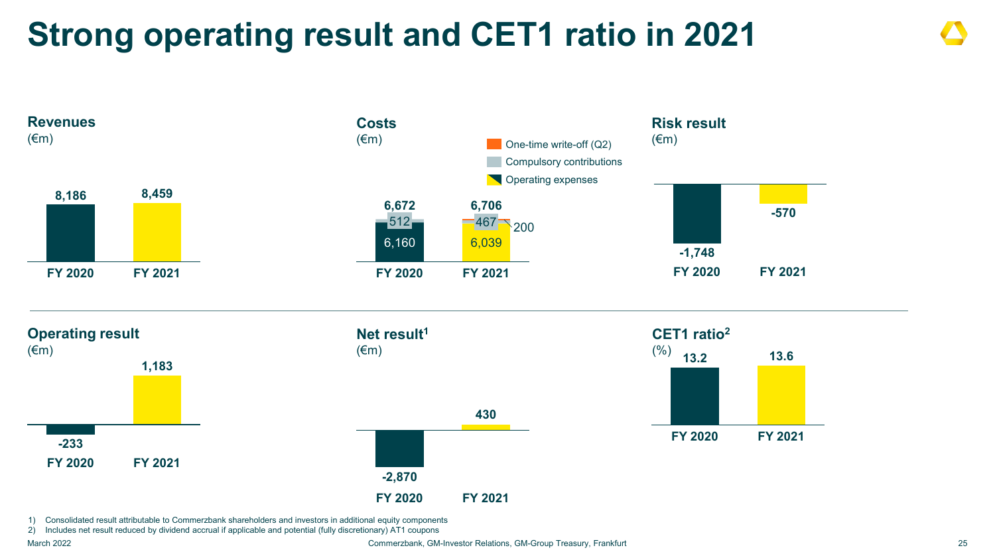### **Strong operating result and CET1 ratio in 2021**



1) Consolidated result attributable to Commerzbank shareholders and investors in additional equity components

2) Includes net result reduced by dividend accrual if applicable and potential (fully discretionary) AT1 coupons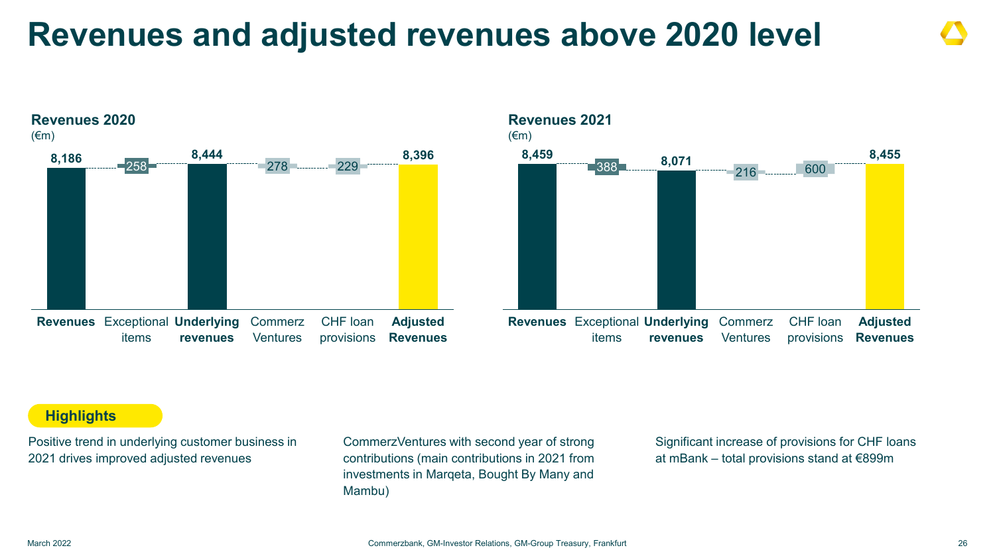### **Revenues and adjusted revenues above 2020 level**





#### **Highlights**

Positive trend in underlying customer business in 2021 drives improved adjusted revenues

CommerzVentures with second year of strong contributions (main contributions in 2021 from investments in Marqeta, Bought By Many and Mambu)

Significant increase of provisions for CHF loans at mBank – total provisions stand at €899m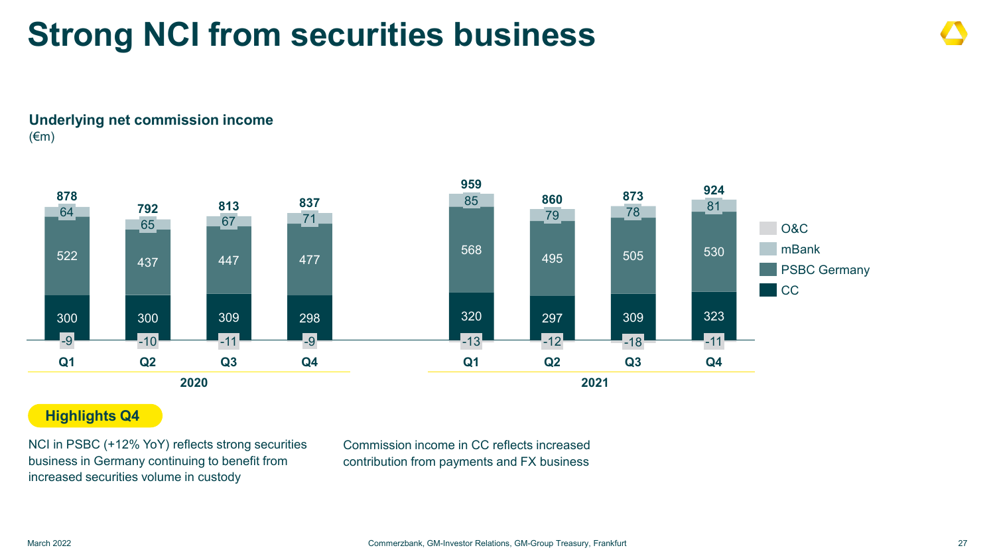### **Strong NCI from securities business**

**Underlying net commission income** (€m)



#### **Highlights Q4**

NCI in PSBC (+12% YoY) reflects strong securities business in Germany continuing to benefit from increased securities volume in custody

Commission income in CC reflects increased contribution from payments and FX business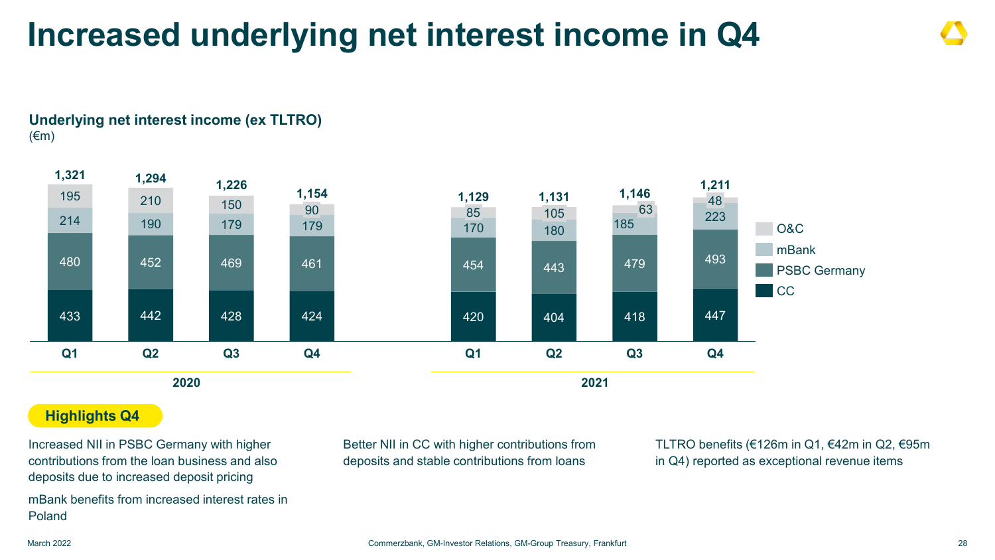### **Increased underlying net interest income in Q4**





#### **Highlights Q4**

Increased NII in PSBC Germany with higher contributions from the loan business and also deposits due to increased deposit pricing mBank benefits from increased interest rates in Poland

Better NII in CC with higher contributions from deposits and stable contributions from loans

TLTRO benefits (€126m in Q1, €42m in Q2, €95m in Q4) reported as exceptional revenue items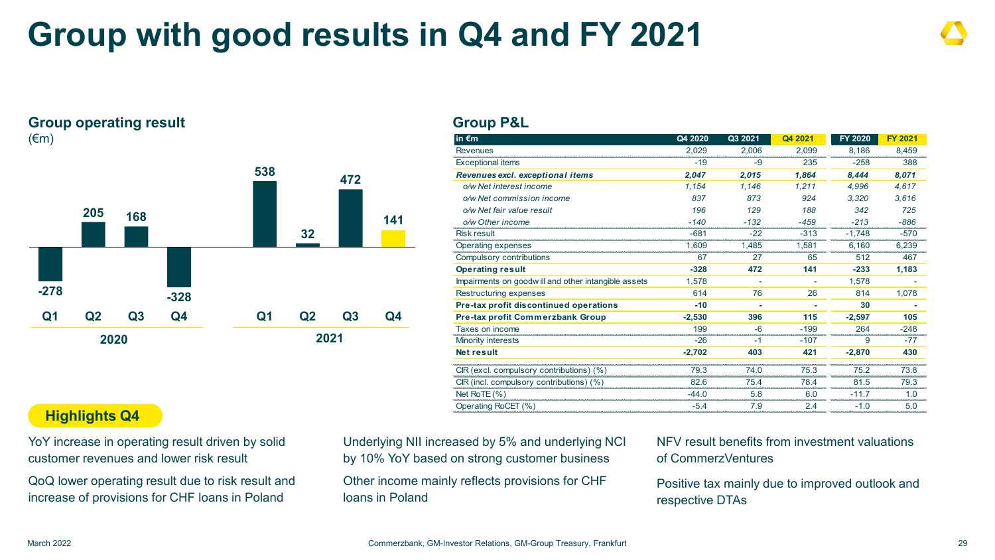### **Group with good results in Q4 and FY 2021**

#### **Group operating result** (€m)



#### **Group P&L**

| in $\epsilon$ m                                     | Q4 2020  | Q3 2021 | Q4 2021 | FY 2020  | <b>FY 2021</b> |
|-----------------------------------------------------|----------|---------|---------|----------|----------------|
| <b>Revenues</b>                                     | 2,029    | 2,006   | 2,099   | 8.186    | 8,459          |
| <b>Exceptional items</b>                            | $-19$    | -9      | 235     | $-258$   | 388            |
| Revenues excl. exceptional items                    | 2,047    | 2,015   | 1,864   | 8,444    | 8,071          |
| o/w Net interest income                             | 1,154    | 1.146   | 1.211   | 4.996    | 4,617          |
| o/w Net commission income                           | 837      | 873     | 924     | 3.320    | 3.616          |
| o/w Net fair value result                           | 196      | 129     | 188     | 342      | 725            |
| o/w Other income                                    | $-140$   | $-132$  | $-459$  | $-213$   | $-886$         |
| Risk result                                         | -681     | $-22$   | $-313$  | $-1,748$ | $-570$         |
| Operating expenses                                  | 1.609    | 1.485   | 1.581   | 6.160    | 6,239          |
| Compulsory contributions                            | 67       | 27      | 65      | 512      | 467            |
| <b>Operating result</b>                             | $-328$   | 472     | 141     | $-233$   | 1,183          |
| Impairments on goodwill and other intangible assets | 1,578    |         |         | 1,578    |                |
| Restructuring expenses                              | 614      | 76      | 26      | 814      | 1,078          |
| Pre-tax profit discontinued operations              | $-10$    |         |         | 30       |                |
| <b>Pre-tax profit Commerzbank Group</b>             | $-2,530$ | 396     | 115     | $-2,597$ | 105            |
| Taxes on income                                     | 199      | $-6$    | $-199$  | 264      | $-248$         |
| Minority interests                                  | $-26$    | -1      | $-107$  | 9        | $-77$          |
| <b>Net result</b>                                   | $-2,702$ | 403     | 421     | $-2.870$ | 430            |
|                                                     |          |         |         |          |                |
| CIR (excl. compulsory contributions) (%)            | 79.3     | 74.0    | 75.3    | 75.2     | 73.8           |
| $CR$ (incl. compulsory contributions) $(\%)$        | 82.6     | 75.4    | 78.4    | 81.5     | 79.3           |
| Net RoTE $(\% )$                                    | $-44.0$  | 5.8     | 6.0     | $-11.7$  | 1.0            |
| Operating RoCET (%)                                 | $-5.4$   | 7.9     | 2.4     | $-1.0$   | 5.0            |
|                                                     |          |         |         |          |                |

#### **Highlights Q4**

YoY increase in operating result driven by solid customer revenues and lower risk result

QoQ lower operating result due to risk result and increase of provisions for CHF loans in Poland

Underlying NII increased by 5% and underlying NCI by 10% YoY based on strong customer business

Other income mainly reflects provisions for CHF loans in Poland

NFV result benefits from investment valuations of CommerzVentures

Positive tax mainly due to improved outlook and respective DTAs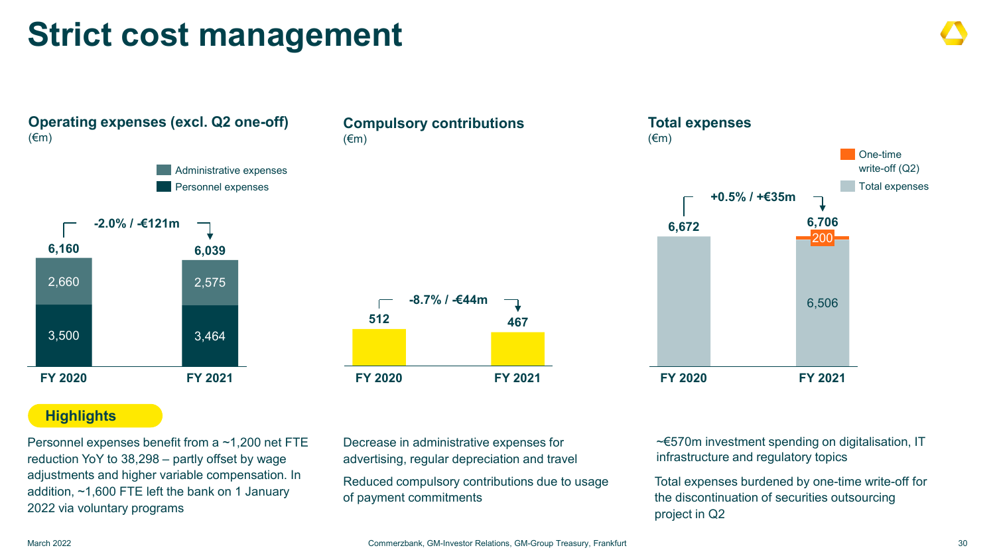### **Strict cost management**



#### **Compulsory contributions** (€m)



#### **Highlights**

Personnel expenses benefit from a ~1,200 net FTE reduction YoY to 38,298 – partly offset by wage adjustments and higher variable compensation. In addition, ~1,600 FTE left the bank on 1 January 2022 via voluntary programs

Decrease in administrative expenses for advertising, regular depreciation and travel

Reduced compulsory contributions due to usage of payment commitments



~€570m investment spending on digitalisation, IT infrastructure and regulatory topics

Total expenses burdened by one-time write-off for the discontinuation of securities outsourcing project in Q2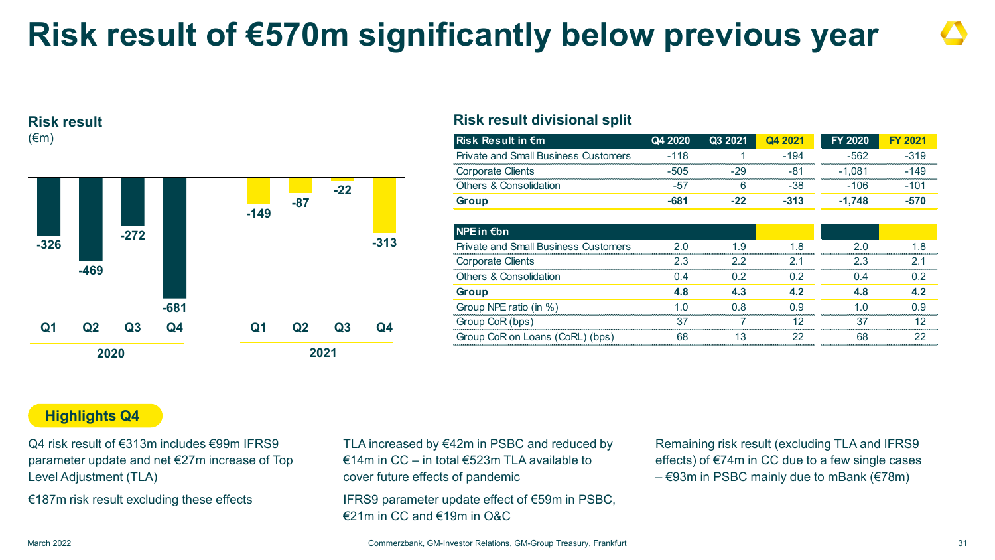### **Risk result of €570m significantly below previous year**

#### **Risk result**  $(\epsilon m)$



#### **Risk result divisional split**

| <b>Risk Result in €m</b>                    | Q4 2020 | Q3 2021 | Q4 2021        | <b>FY 2020</b> | <b>FY 2021</b> |
|---------------------------------------------|---------|---------|----------------|----------------|----------------|
| <b>Private and Small Business Customers</b> | $-118$  |         | $-194$         | $-562$         | $-319$         |
| <b>Corporate Clients</b>                    | -505    | -29     | -81            | -1.081         | $-149$         |
| <b>Others &amp; Consolidation</b>           | -57     | 6       | -38            | $-106$         | $-101$         |
| <b>Group</b>                                | $-681$  | $-22$   | $-313$         | $-1,748$       | $-570$         |
| $NPE$ in $\notin$ bn                        |         |         |                |                |                |
| <b>Private and Small Business Customers</b> | 2.0     | 1.9     | 1.8            | 2.0            | 18             |
| <b>Corporate Clients</b>                    | 2.3     | 22      | 21             | 2.3            | 21             |
| <b>Others &amp; Consolidation</b>           | 04      | 02      | 0 <sup>2</sup> | 04             | 0.2            |
| <b>Group</b>                                | 4.8     | 4.3     | 4.2            | 4.8            | 4.2            |
| Group NPE ratio (in %)                      | 1 በ     | 0 8     | 0.9            | 1 በ            | 0 9            |
| Group CoR (bps)                             | 37      |         | 12             | 37             | 12             |
| Group CoR on Loans (CoRL) (bps)             | 68      | 13      | 22             | 68             | 22             |

#### **Highlights Q4**

Q4 risk result of €313m includes €99m IFRS9 parameter update and net €27m increase of Top Level Adjustment (TLA)

€187m risk result excluding these effects

TLA increased by €42m in PSBC and reduced by €14m in CC – in total €523m TLA available to cover future effects of pandemic

IFRS9 parameter update effect of €59m in PSBC, €21m in CC and €19m in O&C

Remaining risk result (excluding TLA and IFRS9 effects) of €74m in CC due to a few single cases  $-$  €93m in PSBC mainly due to mBank (€78m)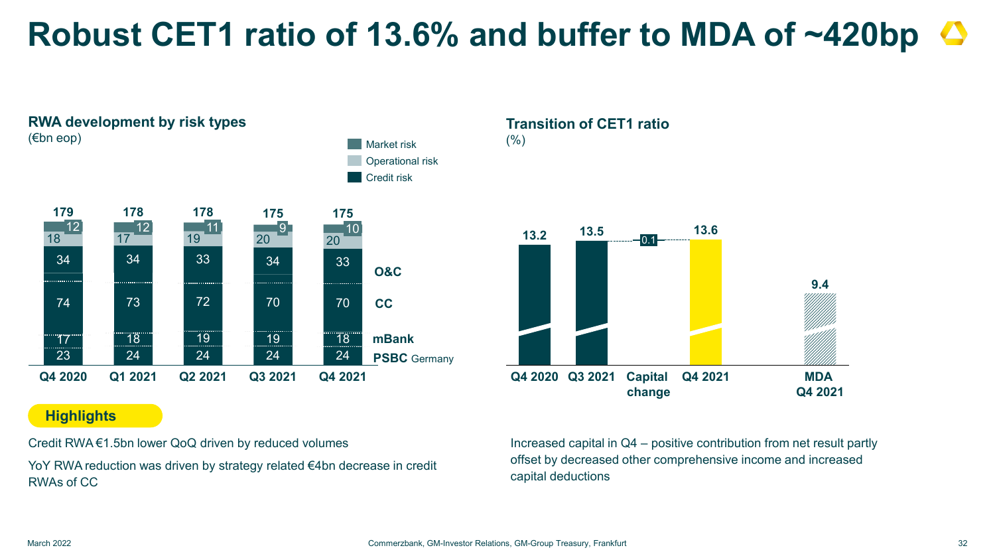### **Robust CET1 ratio of 13.6% and buffer to MDA of ~420bp**



#### **Highlights**

Credit RWA €1.5bn lower QoQ driven by reduced volumes

YoY RWA reduction was driven by strategy related €4bn decrease in credit RWAs of CC

**Transition of CET1 ratio**  $(% )$ 



Increased capital in Q4 – positive contribution from net result partly offset by decreased other comprehensive income and increased capital deductions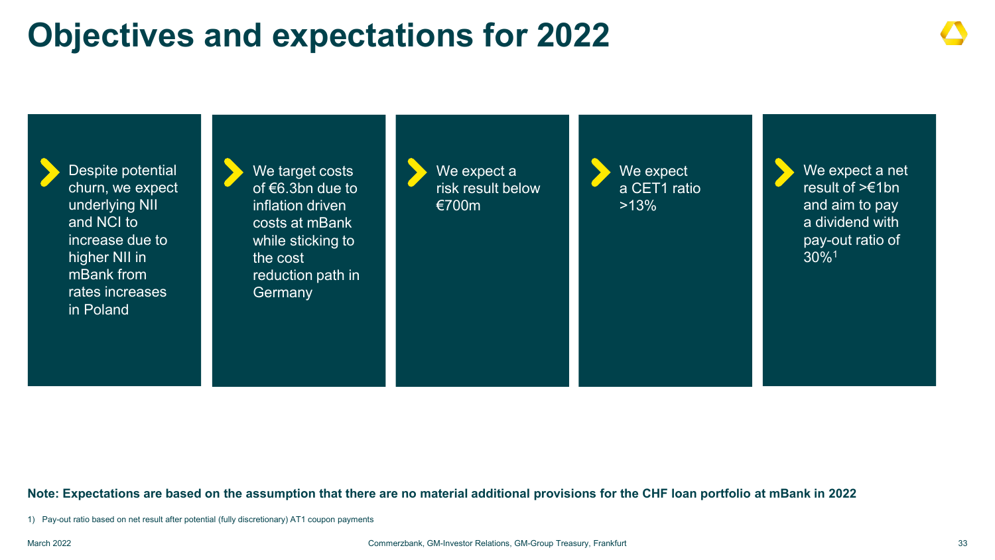### **Objectives and expectations for 2022**



#### **Note: Expectations are based on the assumption that there are no material additional provisions for the CHF loan portfolio at mBank in 2022**

1) Pay-out ratio based on net result after potential (fully discretionary) AT1 coupon payments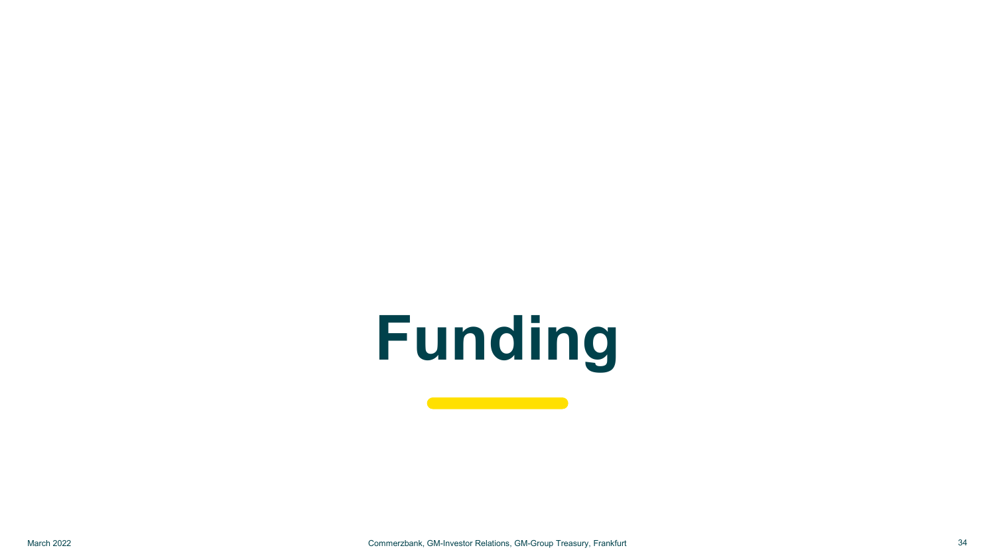# **Funding**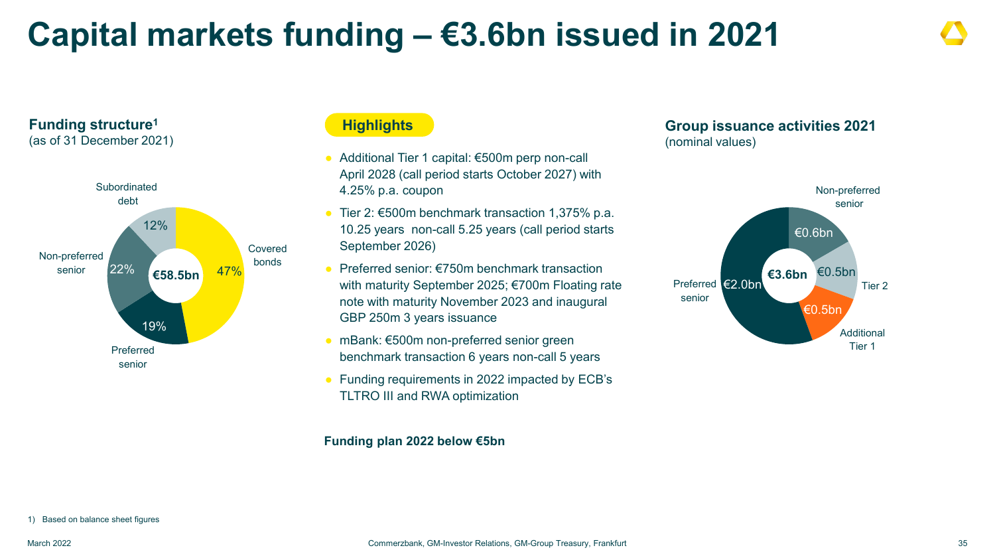### **Capital markets funding – €3.6bn issued in 2021**



#### **Highlights**

- Additional Tier 1 capital: €500m perp non-call April 2028 (call period starts October 2027) with 4.25% p.a. coupon
- Tier 2:  $€500$ m benchmark transaction 1,375% p.a. 10.25 years non-call 5.25 years (call period starts September 2026)
- $\bullet$  Preferred senior: €750m benchmark transaction with maturity September 2025; €700m Floating rate note with maturity November 2023 and inaugural GBP 250m 3 years issuance
- mBank: €500m non-preferred senior green benchmark transaction 6 years non-call 5 years
- Funding requirements in 2022 impacted by ECB's TLTRO III and RWA optimization

#### **Funding plan 2022 below €5bn**

#### **Group issuance activities 2021** (nominal values)



1) Based on balance sheet figures

**Funding structure1** (as of 31 December 2021)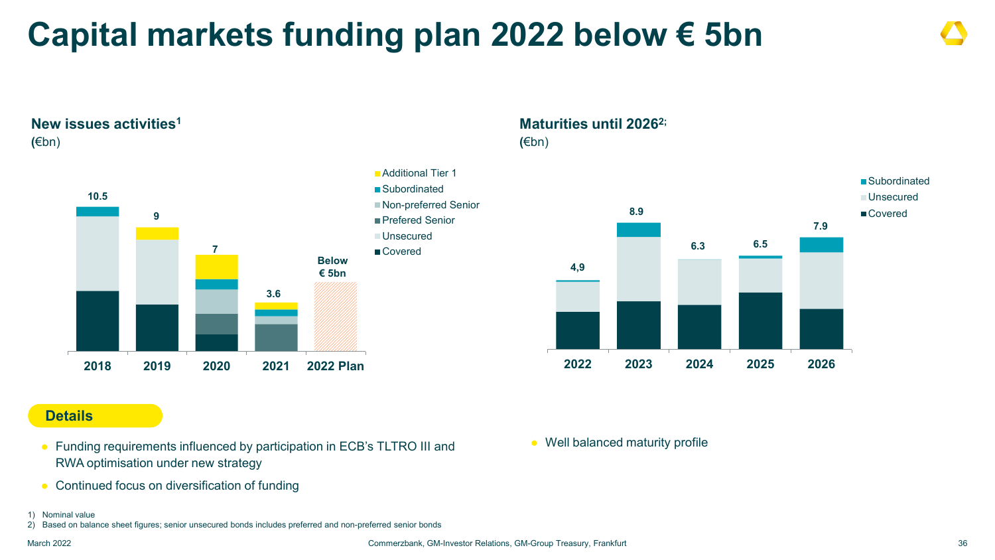## **Capital markets funding plan 2022 below € 5bn**





#### **Maturities until 20262;**

**(**€bn)



#### **Details**

- Funding requirements influenced by participation in ECB's TLTRO III and RWA optimisation under new strategy
- Continued focus on diversification of funding
- 1) Nominal value
- 2) Based on balance sheet figures; senior unsecured bonds includes preferred and non-preferred senior bonds

March 2022 Commerzbank, GM-Investor Relations, GM-Group Treasury, Frankfurt 36

● Well balanced maturity profile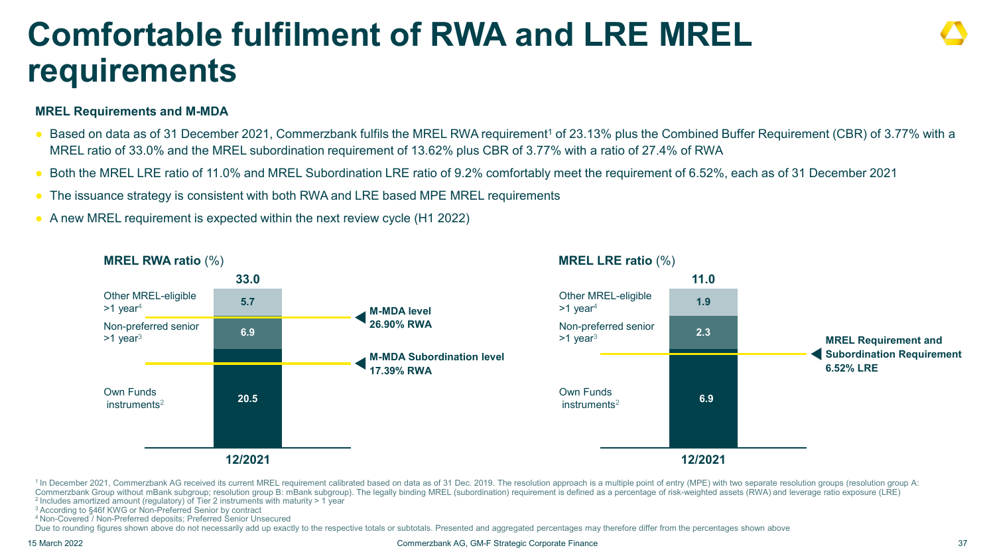### **Comfortable fulfilment of RWA and LRE MREL requirements**

#### **MREL Requirements and M-MDA**

- Based on data as of 31 December 2021, Commerzbank fulfils the MREL RWA requirement<sup>1</sup> of 23.13% plus the Combined Buffer Requirement (CBR) of 3.77% with a MREL ratio of 33.0% and the MREL subordination requirement of 13.62% plus CBR of 3.77% with a ratio of 27.4% of RWA
- Both the MREL LRE ratio of 11.0% and MREL Subordination LRE ratio of 9.2% comfortably meet the requirement of 6.52%, each as of 31 December 2021
- The issuance strategy is consistent with both RWA and LRE based MPE MREL requirements
- A new MREL requirement is expected within the next review cycle (H1 2022)



<sup>1</sup> In December 2021, Commerzbank AG received its current MREL requirement calibrated based on data as of 31 Dec. 2019. The resolution approach is a multiple point of entry (MPE) with two separate resolution groups (resolu Commerzbank Group without mBank subgroup; resolution group B: mBank subgroup). The legally binding MREL (subordination) requirement is defined as a percentage of risk-weighted assets (RWA) and leverage ratio exposure (LRE) <sup>2</sup> Includes amortized amount (regulatory) of Tier 2 instruments with maturity > 1 year  $3$  According to §46f KWG or Non-Preferred Senior by contract

3 According to §46f KWG or Non-Preferred Senior by contract 4 Non-Covered / Non-Preferred deposits; Preferred Senior Unsecured

Due to rounding figures shown above do not necessarily add up exactly to the respective totals or subtotals. Presented and aggregated percentages may therefore differ from the percentages shown above

15 March 2022 Commerzbank AG, GM-F Strategic Corporate Finance 37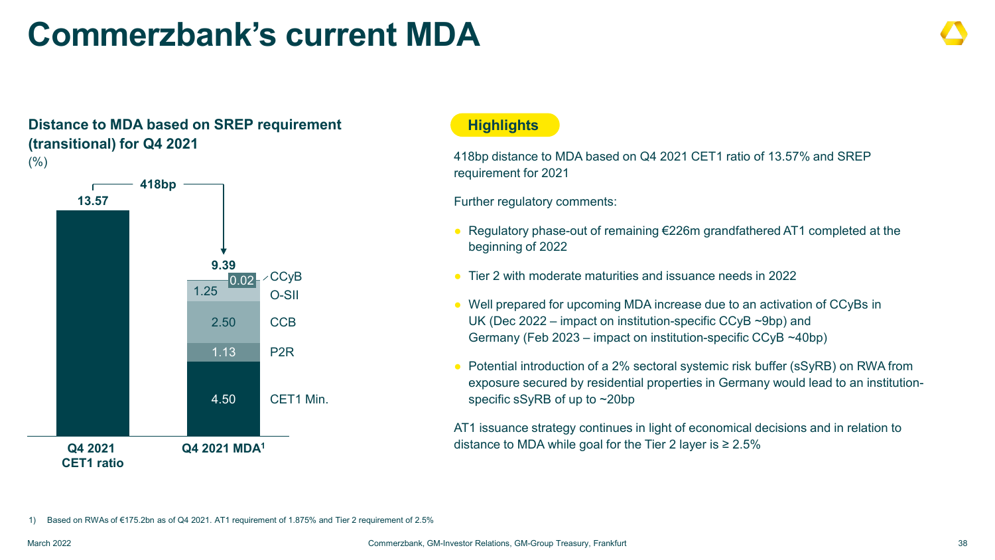### **Commerzbank's current MDA**

#### **Distance to MDA based on SREP requirement (transitional) for Q4 2021**   $(% )$



#### **Highlights**

418bp distance to MDA based on Q4 2021 CET1 ratio of 13.57% and SREP requirement for 2021

Further regulatory comments:

- Regulatory phase-out of remaining €226m grandfathered AT1 completed at the beginning of 2022
- Tier 2 with moderate maturities and issuance needs in 2022
- Well prepared for upcoming MDA increase due to an activation of CCyBs in UK (Dec 2022 – impact on institution-specific CCyB ~9bp) and Germany (Feb 2023 – impact on institution-specific CCyB ~40bp)
- Potential introduction of a 2% sectoral systemic risk buffer (sSyRB) on RWA from exposure secured by residential properties in Germany would lead to an institutionspecific sSyRB of up to ~20bp

AT1 issuance strategy continues in light of economical decisions and in relation to distance to MDA while goal for the Tier 2 layer is  $\geq 2.5\%$ 

1) Based on RWAs of €175.2bn as of Q4 2021. AT1 requirement of 1.875% and Tier 2 requirement of 2.5%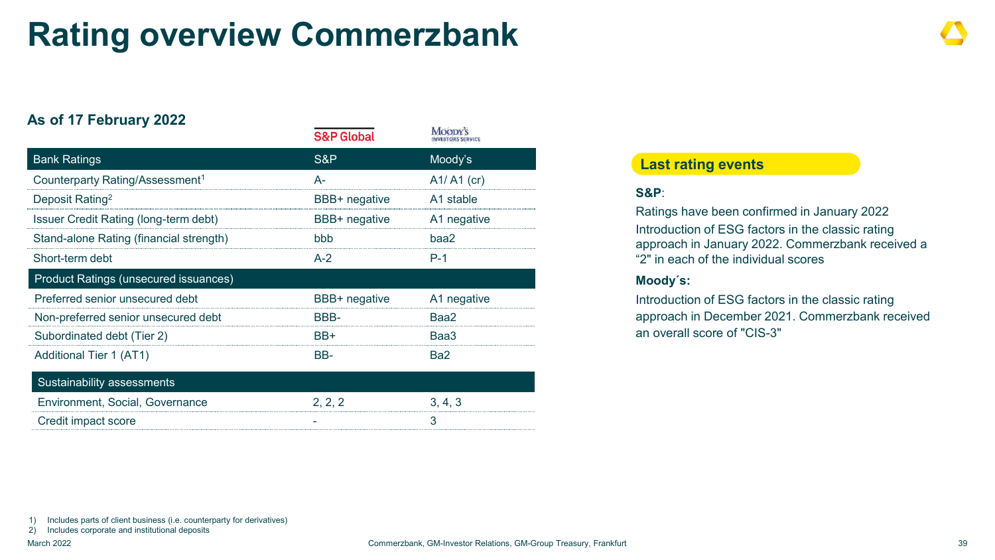### **Rating overview Commerzbank**

#### **As of 17 February 2022**

|                                              | <b>S&amp;P Global</b> | <b>TATOODI</b> 9<br><b>INVESTORS SERVICE</b> |
|----------------------------------------------|-----------------------|----------------------------------------------|
| <b>Bank Ratings</b>                          | S&P                   | Moody's                                      |
| Counterparty Rating/Assessment <sup>1</sup>  | А-                    | $A1/ A1$ (cr)                                |
| Deposit Rating <sup>2</sup>                  | BBB+ negative         | A1 stable                                    |
| Issuer Credit Rating (long-term debt)        | BBB+ negative         | A1 negative                                  |
| Stand-alone Rating (financial strength)      | <b>bbb</b>            | baa2                                         |
| Short-term debt                              | $A-2$                 | $P-1$                                        |
| <b>Product Ratings (unsecured issuances)</b> |                       |                                              |
| Preferred senior unsecured debt              | BBB+ negative         | A1 negative                                  |
| Non-preferred senior unsecured debt          | BBB-                  | Baa2                                         |
| Subordinated debt (Tier 2)                   | BB+                   | Baa3                                         |
| Additional Tier 1 (AT1)                      | BB-                   | Ba2                                          |
| Sustainability assessments                   |                       |                                              |
| Environment, Social, Governance              | 2, 2, 2               | 3, 4, 3                                      |

Credit impact score and the set of the set of the set of the set of the set of the set of the set of the set of the set of the set of the set of the set of the set of the set of the set of the set of the set of the set of

#### **Last rating events**

#### **S&P**:

Ratings have been confirmed in January 2022 Introduction of ESG factors in the classic rating approach in January 2022. Commerzbank received a "2" in each of the individual scores

#### **Moody´s:**

Introduction of ESG factors in the classic rating approach in December 2021. Commerzbank received an overall score of "CIS-3"

1) Includes parts of client business (i.e. counterparty for derivatives)

2) Includes corporate and institutional deposits

Moonw<sup>2</sup>e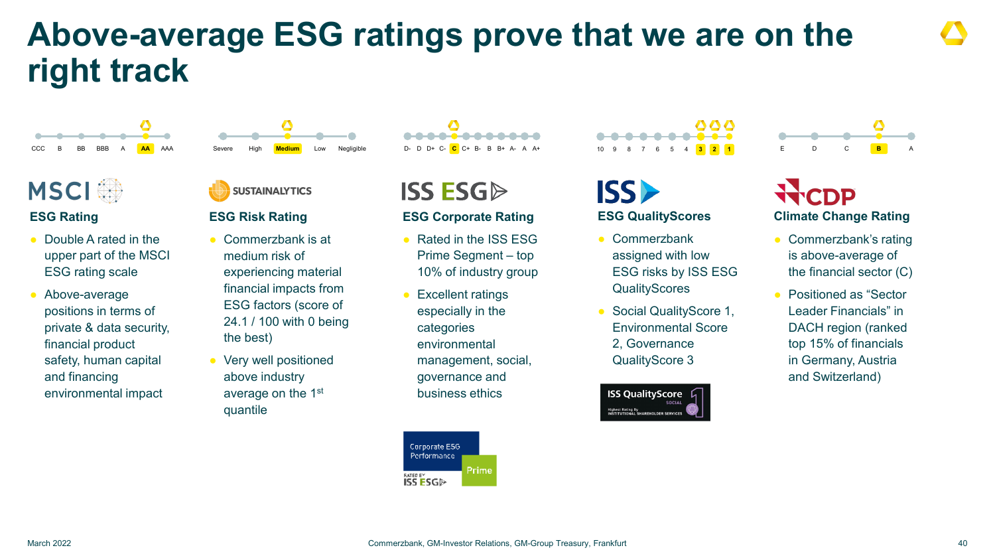### **Above-average ESG ratings prove that we are on the right track**



### **MSCI**

#### **ESG Rating**

- Double A rated in the upper part of the MSCI ESG rating scale
- Above-average positions in terms of private & data security, financial product safety, human capital and financing environmental impact



Severe High **Medium** Low Negligible

◔

#### **ESG Risk Rating**

- Commerzbank is at medium risk of experiencing material financial impacts from ESG factors (score of 24.1 / 100 with 0 being the best)
- Very well positioned above industry average on the 1st quantile

**ISS ESG** 

#### **ESG Corporate Rating**

- Rated in the ISS FSG Prime Segment – top 10% of industry group
- **Excellent ratings** especially in the categories environmental management, social, governance and business ethics

Corporate E5G Performance Prime **NTER E'S GD** 

ISS)

#### **ESG QualityScores**

10 9 8 7 6 5 4 **3 1**

888

- Commerzbank assigned with low ESG risks by ISS ESG **QualityScores**
- Social QualityScore 1, Environmental Score 2, Governance QualityScore 3



## **Climate Change Rating**

E D C **B** A

- Commerzbank's rating is above-average of the financial sector (C)
- Positioned as "Sector Leader Financials" in DACH region (ranked top 15% of financials in Germany, Austria and Switzerland)

◔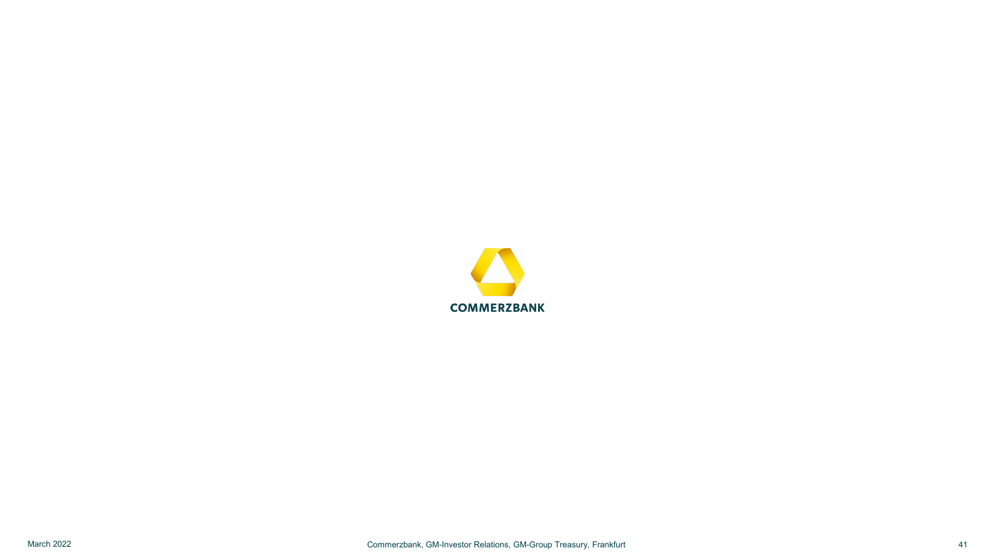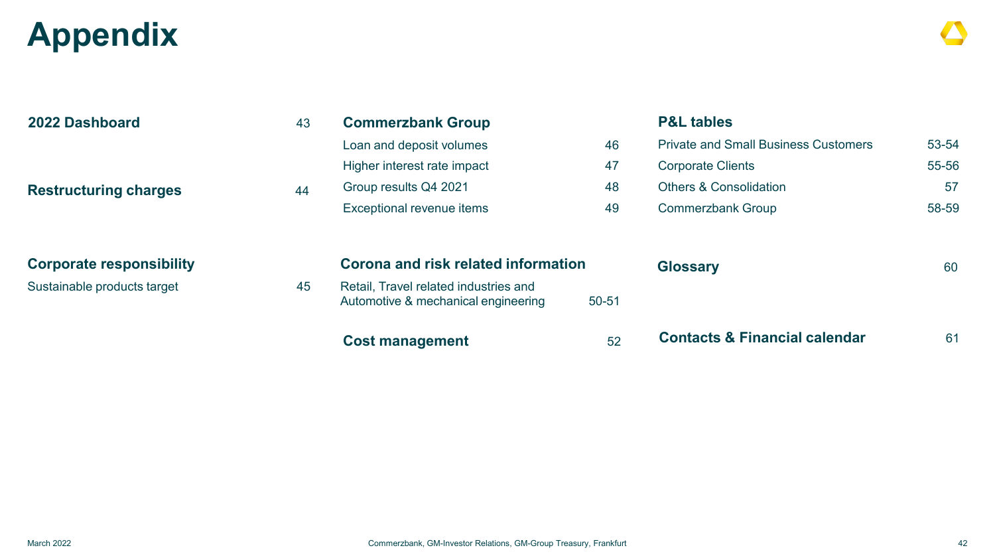## **Appendix**

| 2022 Dashboard                  | 43 | <b>Commerzbank Group</b>                                                     |           | <b>P&amp;L tables</b>                       |       |
|---------------------------------|----|------------------------------------------------------------------------------|-----------|---------------------------------------------|-------|
|                                 |    | Loan and deposit volumes                                                     | 46        | <b>Private and Small Business Customers</b> | 53-54 |
|                                 |    | Higher interest rate impact                                                  | 47        | <b>Corporate Clients</b>                    | 55-56 |
| <b>Restructuring charges</b>    | 44 | Group results Q4 2021                                                        | 48        | <b>Others &amp; Consolidation</b>           | 57    |
|                                 |    | Exceptional revenue items                                                    | 49        | <b>Commerzbank Group</b>                    | 58-59 |
| <b>Corporate responsibility</b> |    | Corona and risk related information                                          |           | <b>Glossary</b>                             | 60    |
| Sustainable products target     | 45 | Retail, Travel related industries and<br>Automotive & mechanical engineering | $50 - 51$ |                                             |       |
|                                 |    | <b>Cost management</b>                                                       | 52        | <b>Contacts &amp; Financial calendar</b>    | 61    |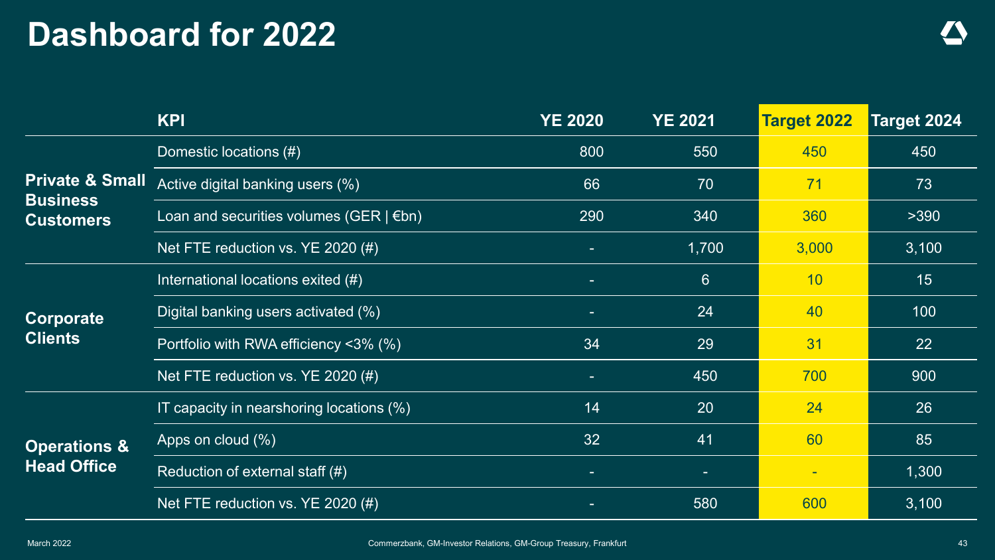### **Dashboard for 2022**

|                                     | <b>KPI</b>                                      | <b>YE 2020</b> | <b>YE 2021</b> | <b>Target 2022</b>       | Target 2024 |
|-------------------------------------|-------------------------------------------------|----------------|----------------|--------------------------|-------------|
|                                     | Domestic locations (#)                          | 800            | 550            | 450                      | 450         |
| <b>Private &amp; Small</b>          | Active digital banking users (%)                | 66             | 70             | 71                       | 73          |
| <b>Business</b><br><b>Customers</b> | Loan and securities volumes (GER $\mid \in$ bn) | 290            | 340            | 360                      | >390        |
|                                     | Net FTE reduction vs. YE 2020 (#)               |                | 1,700          | 3,000                    | 3,100       |
|                                     | International locations exited (#)              |                | 6              | 10                       | 15          |
| Corporate                           | Digital banking users activated (%)             |                | 24             | 40                       | 100         |
| <b>Clients</b>                      | Portfolio with RWA efficiency $\langle 3\%$ (%) | 34             | 29             | 31                       | 22          |
|                                     | Net FTE reduction vs. YE 2020 (#)               |                | 450            | 700                      | 900         |
|                                     | IT capacity in nearshoring locations (%)        | 14             | 20             | 24                       | 26          |
| <b>Operations &amp;</b>             | Apps on cloud (%)                               | 32             | 41             | 60                       | 85          |
| <b>Head Office</b>                  | Reduction of external staff (#)                 |                | $\sim$         | $\overline{\phantom{a}}$ | 1,300       |
|                                     | Net FTE reduction vs. YE 2020 (#)               |                | 580            | 600                      | 3,100       |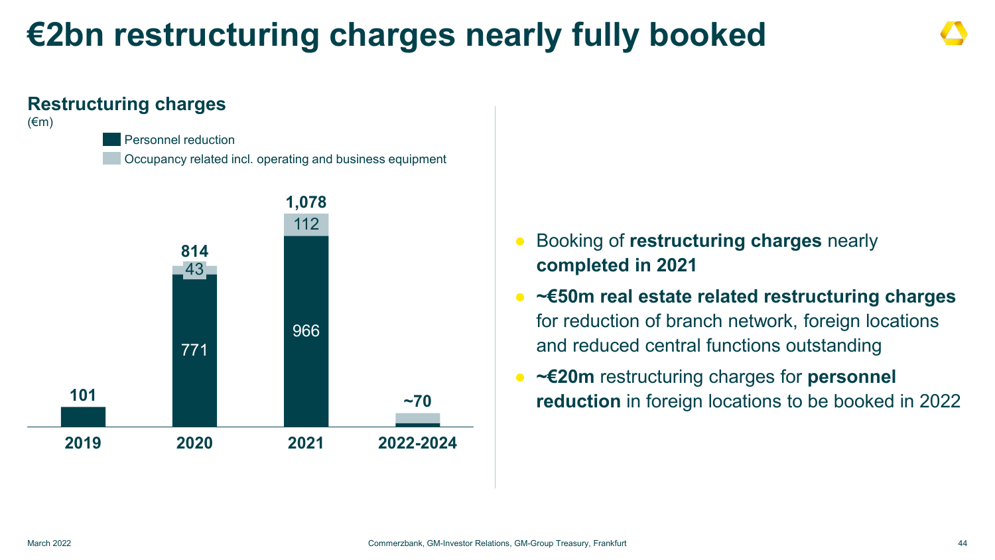### **€2bn restructuring charges nearly fully booked**

### **Restructuring charges**

#### $(\epsilon m)$

### Personnel reduction

Occupancy related incl. operating and business equipment



- Booking of **restructuring charges** nearly **completed in 2021**
- **∼€50m real estate related restructuring charges** for reduction of branch network, foreign locations and reduced central functions outstanding
- **∼€20m** restructuring charges for **personnel reduction** in foreign locations to be booked in 2022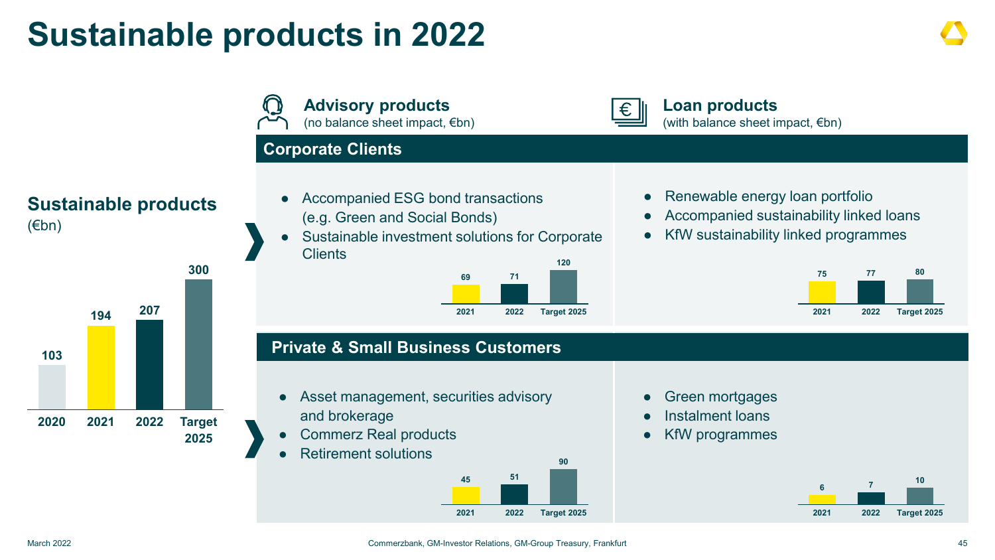### **Sustainable products in 2022**

**Advisory products Loan products** € (no balance sheet impact, €bn) (with balance sheet impact,  $\notin$ bn) **Corporate Clients** • Renewable energy loan portfolio Accompanied ESG bond transactions **Sustainable products** ● Accompanied sustainability linked loans (e.g. Green and Social Bonds) Sustainable investment solutions for Corporate KfW sustainability linked programmes **Clients 120 300 75 77 80 69 71 <sup>194</sup> <sup>207</sup> 2021 2022 Target 2025 2021 2022 Target 2025 Private & Small Business Customers** • Asset management, securities advisory **Green mortgages** Instalment loans and brokerage **2020 2021 2022 Target Commerz Real products** ● KfW programmes **2025 Retirement solutions 90 45 51 <sup>6</sup> <sup>7</sup> <sup>10</sup> 2021 2022 Target 2025 2021 2022 Target 2025**

(€bn)

**103**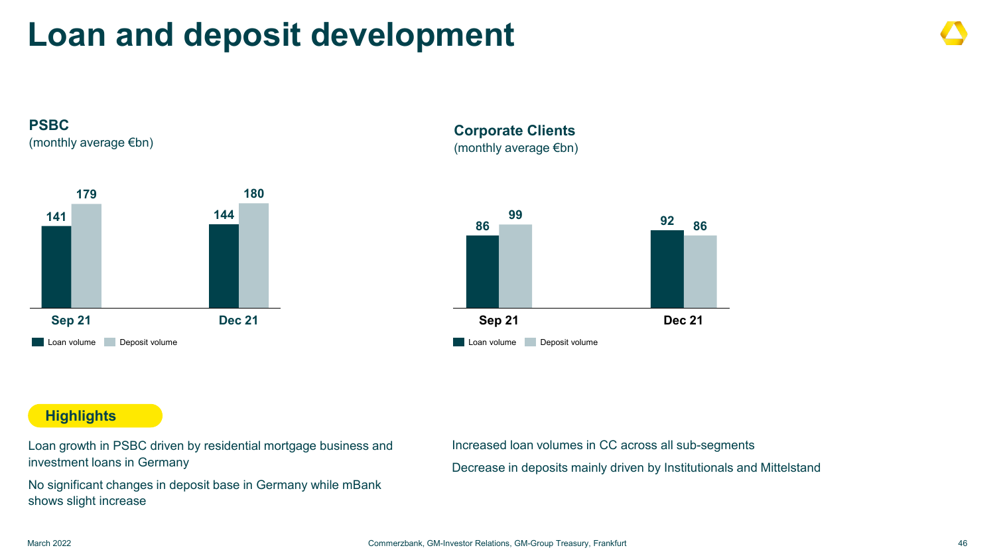### **Loan and deposit development**





#### **Corporate Clients**  (monthly average €bn)



#### **Highlights**

Loan growth in PSBC driven by residential mortgage business and investment loans in Germany

No significant changes in deposit base in Germany while mBank shows slight increase

Increased loan volumes in CC across all sub-segments

Decrease in deposits mainly driven by Institutionals and Mittelstand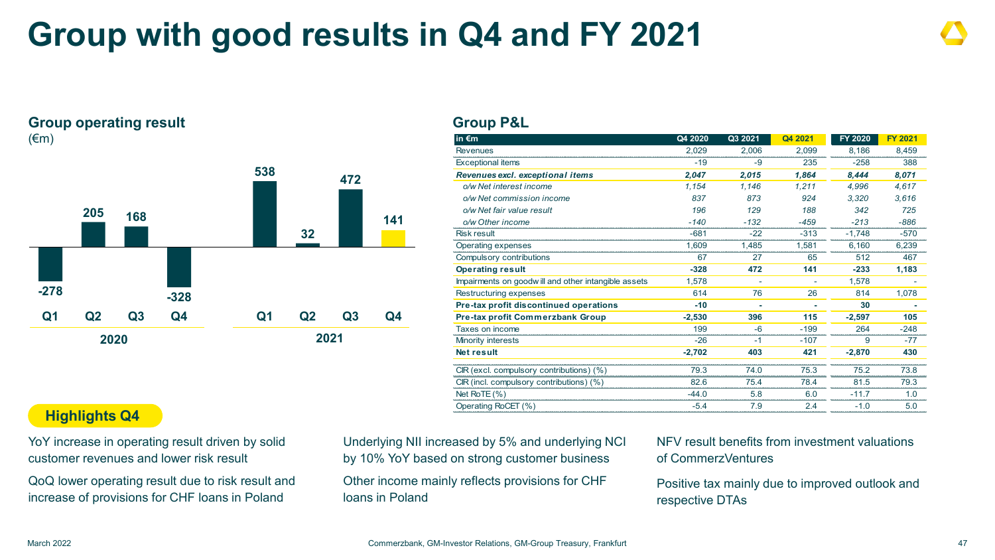### **Group with good results in Q4 and FY 2021**

#### **Group operating result** (€m)



#### **Group P&L**

| in $\epsilon$ m                                     | Q4 2020  | Q3 2021 | Q4 2021 | <b>FY 2020</b> | <b>FY 2021</b> |
|-----------------------------------------------------|----------|---------|---------|----------------|----------------|
| <b>Revenues</b>                                     | 2,029    | 2,006   | 2,099   | 8.186          | 8,459          |
| <b>Exceptional items</b>                            | $-19$    | -9      | 235     | $-258$         | 388            |
| Revenues excl. exceptional items                    | 2,047    | 2,015   | 1,864   | 8,444          | 8,071          |
| o/w Net interest income                             | 1,154    | 1,146   | 1.211   | 4.996          | 4,617          |
| o/w Net commission income                           | 837      | 873     | 924     | 3.320          | 3.616          |
| o/w Net fair value result                           | 196      | 129     | 188     | 342            | 725            |
| o/w Other income                                    | $-140$   | $-132$  | $-459$  | $-213$         | $-886$         |
| <b>Risk result</b>                                  | $-681$   | $-22$   | $-313$  | $-1,748$       | $-570$         |
| Operating expenses                                  | 1.609    | 1.485   | 1.581   | 6.160          | 6.239          |
| Compulsory contributions                            | 67       | 27      | 65      | 512            | 467            |
| <b>Operating result</b>                             | $-328$   | 472     | 141     | $-233$         | 1,183          |
| Impairments on goodwill and other intangible assets | 1,578    |         |         | 1,578          |                |
| Restructuring expenses                              | 614      | 76      | 26      | 814            | 1,078          |
| Pre-tax profit discontinued operations              | $-10$    |         |         | 30             |                |
| <b>Pre-tax profit Commerzbank Group</b>             | $-2,530$ | 396     | 115     | $-2,597$       | 105            |
| Taxes on income                                     | 199      | $-6$    | $-199$  | 264            | $-248$         |
| Minority interests                                  | $-26$    | $-1$    | $-107$  | 9              | $-77$          |
| <b>Net result</b>                                   | $-2,702$ | 403     | 421     | $-2.870$       | 430            |
|                                                     |          |         |         |                |                |
| CIR (excl. compulsory contributions) (%)            | 79.3     | 74.0    | 75.3    | 75.2           | 73.8           |
| CIR (incl. compulsory contributions) (%)            | 82.6     | 75.4    | 784     | 81.5           | 79.3           |
| Net RoTE $(\% )$                                    | -44.0    | 5.8     | 6.0     | $-11.7$        | 1.0            |
| Operating RoCET (%)                                 | $-5.4$   | 7.9     | 2.4     | $-1.0$         | 5.0            |
|                                                     |          |         |         |                |                |

#### **Highlights Q4**

YoY increase in operating result driven by solid customer revenues and lower risk result

QoQ lower operating result due to risk result and increase of provisions for CHF loans in Poland

Underlying NII increased by 5% and underlying NCI by 10% YoY based on strong customer business

Other income mainly reflects provisions for CHF loans in Poland

NFV result benefits from investment valuations of CommerzVentures

Positive tax mainly due to improved outlook and respective DTAs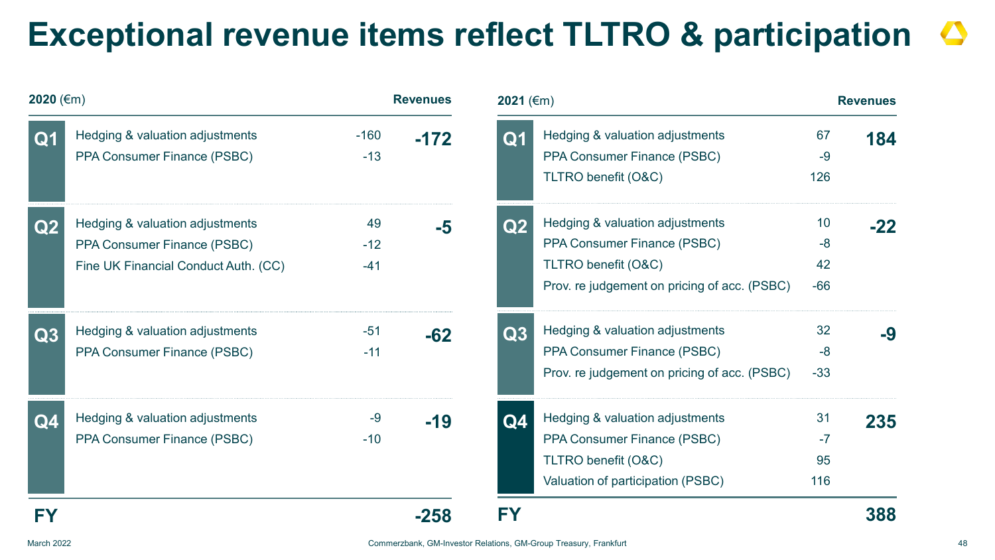### **Exceptional revenue items reflect TLTRO & participation**

| 2020 (€m)      |                                                                                                        |                      | <b>Revenues</b> | 2021 (€m)      | <b>Revenues</b>                                                                                                                       |                           |       |
|----------------|--------------------------------------------------------------------------------------------------------|----------------------|-----------------|----------------|---------------------------------------------------------------------------------------------------------------------------------------|---------------------------|-------|
| Q1             | Hedging & valuation adjustments<br>PPA Consumer Finance (PSBC)                                         | $-160$<br>$-13$      | $-172$          | Q <sub>1</sub> | Hedging & valuation adjustments<br>PPA Consumer Finance (PSBC)<br>TLTRO benefit (O&C)                                                 | 67<br>$-9$<br>126         | 184   |
| Q2             | Hedging & valuation adjustments<br>PPA Consumer Finance (PSBC)<br>Fine UK Financial Conduct Auth. (CC) | 49<br>$-12$<br>$-41$ | $-5$            | $\bf Q2$       | Hedging & valuation adjustments<br>PPA Consumer Finance (PSBC)<br>TLTRO benefit (O&C)<br>Prov. re judgement on pricing of acc. (PSBC) | 10<br>$-8$<br>42<br>$-66$ | $-22$ |
| Q3             | Hedging & valuation adjustments<br>PPA Consumer Finance (PSBC)                                         | $-51$<br>$-11$       | $-62$           | Q3             | Hedging & valuation adjustments<br>PPA Consumer Finance (PSBC)<br>Prov. re judgement on pricing of acc. (PSBC)                        | 32<br>$-8$<br>$-33$       | -9    |
| Q <sub>4</sub> | Hedging & valuation adjustments<br>PPA Consumer Finance (PSBC)                                         | $-9$<br>$-10$        | $-19$           | Q <sub>4</sub> | Hedging & valuation adjustments<br>PPA Consumer Finance (PSBC)<br>TLTRO benefit (O&C)<br>Valuation of participation (PSBC)            | 31<br>$-7$<br>95<br>116   | 235   |
| FY             |                                                                                                        |                      | $-258$          | <b>FY</b>      |                                                                                                                                       |                           | 388   |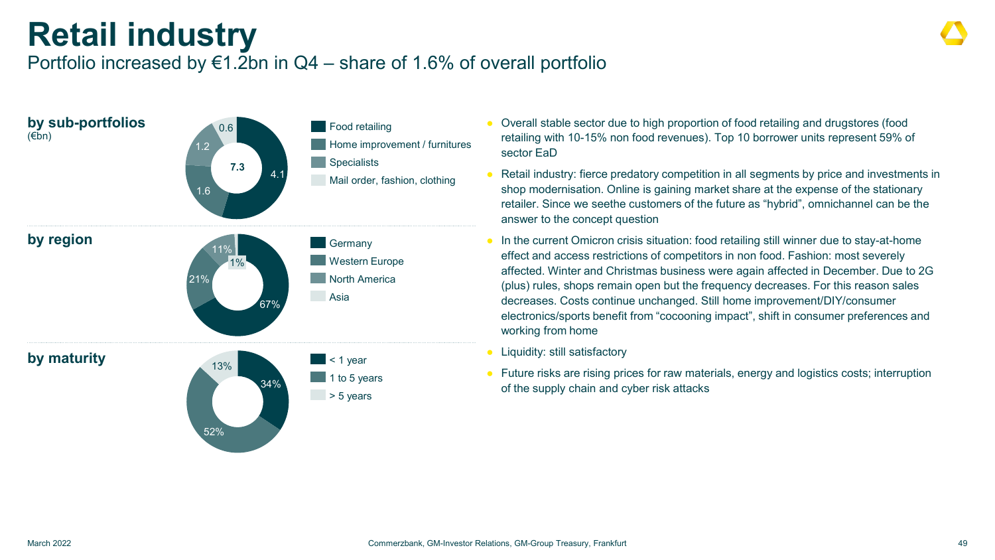### **Retail industry**

### Portfolio increased by  $€1.2$ bn in Q4 – share of 1.6% of overall portfolio



- Overall stable sector due to high proportion of food retailing and drugstores (food retailing with 10-15% non food revenues). Top 10 borrower units represent 59% of sector EaD
- Retail industry: fierce predatory competition in all segments by price and investments in shop modernisation. Online is gaining market share at the expense of the stationary retailer. Since we seethe customers of the future as "hybrid", omnichannel can be the answer to the concept question
- In the current Omicron crisis situation: food retailing still winner due to stay-at-home effect and access restrictions of competitors in non food. Fashion: most severely affected. Winter and Christmas business were again affected in December. Due to 2G (plus) rules, shops remain open but the frequency decreases. For this reason sales decreases. Costs continue unchanged. Still home improvement/DIY/consumer electronics/sports benefit from "cocooning impact", shift in consumer preferences and working from home
- Liquidity: still satisfactory
- Future risks are rising prices for raw materials, energy and logistics costs; interruption of the supply chain and cyber risk attacks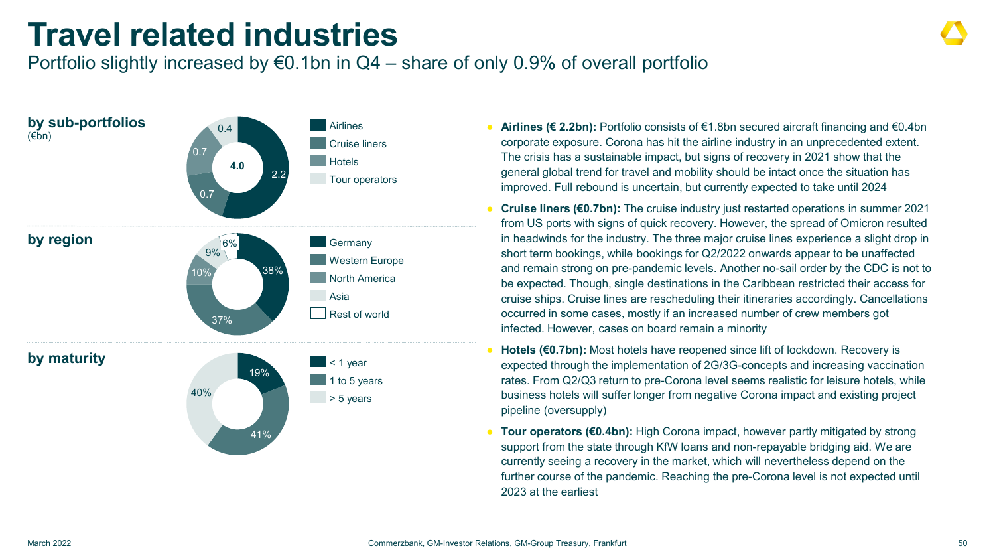### **Travel related industries**

### Portfolio slightly increased by  $\epsilon$ 0.1bn in Q4 – share of only 0.9% of overall portfolio



- **Airlines (€ 2.2bn):** Portfolio consists of €1.8bn secured aircraft financing and €0.4bn corporate exposure. Corona has hit the airline industry in an unprecedented extent. The crisis has a sustainable impact, but signs of recovery in 2021 show that the general global trend for travel and mobility should be intact once the situation has improved. Full rebound is uncertain, but currently expected to take until 2024
- **Cruise liners (€0.7bn):** The cruise industry just restarted operations in summer 2021 from US ports with signs of quick recovery. However, the spread of Omicron resulted in headwinds for the industry. The three major cruise lines experience a slight drop in short term bookings, while bookings for Q2/2022 onwards appear to be unaffected and remain strong on pre-pandemic levels. Another no-sail order by the CDC is not to be expected. Though, single destinations in the Caribbean restricted their access for cruise ships. Cruise lines are rescheduling their itineraries accordingly. Cancellations occurred in some cases, mostly if an increased number of crew members got infected. However, cases on board remain a minority
- **Hotels (€0.7bn):** Most hotels have reopened since lift of lockdown. Recovery is expected through the implementation of 2G/3G-concepts and increasing vaccination rates. From Q2/Q3 return to pre-Corona level seems realistic for leisure hotels, while business hotels will suffer longer from negative Corona impact and existing project pipeline (oversupply)
- **Tour operators (€0.4bn):** High Corona impact, however partly mitigated by strong support from the state through KfW loans and non-repayable bridging aid. We are currently seeing a recovery in the market, which will nevertheless depend on the further course of the pandemic. Reaching the pre-Corona level is not expected until 2023 at the earliest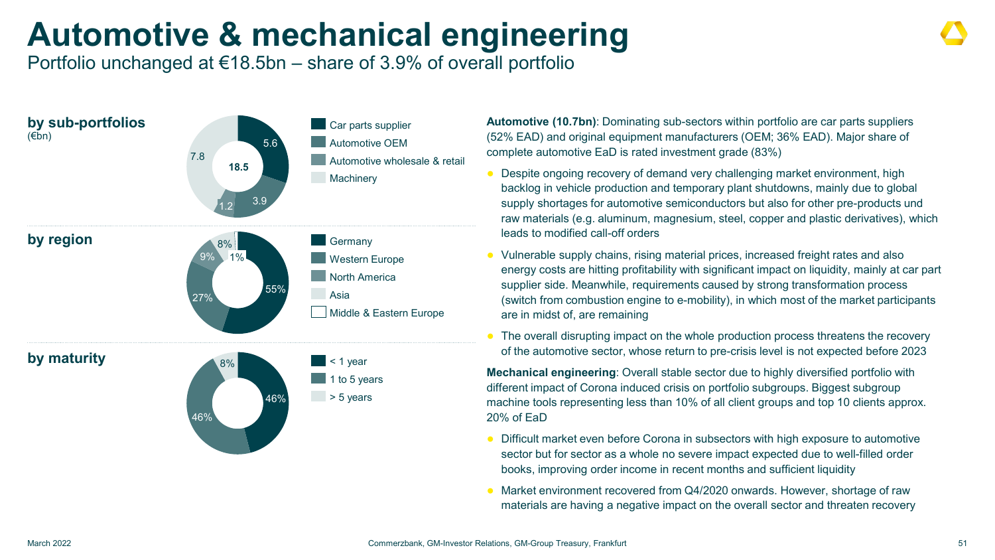## **Automotive & mechanical engineering**

Portfolio unchanged at €18.5bn – share of 3.9% of overall portfolio



**Automotive (10.7bn)**: Dominating sub-sectors within portfolio are car parts suppliers (52% EAD) and original equipment manufacturers (OEM; 36% EAD). Major share of complete automotive EaD is rated investment grade (83%)

- Despite ongoing recovery of demand very challenging market environment, high backlog in vehicle production and temporary plant shutdowns, mainly due to global supply shortages for automotive semiconductors but also for other pre-products und raw materials (e.g. aluminum, magnesium, steel, copper and plastic derivatives), which leads to modified call-off orders
- Vulnerable supply chains, rising material prices, increased freight rates and also energy costs are hitting profitability with significant impact on liquidity, mainly at car part supplier side. Meanwhile, requirements caused by strong transformation process (switch from combustion engine to e-mobility), in which most of the market participants are in midst of, are remaining
- The overall disrupting impact on the whole production process threatens the recovery of the automotive sector, whose return to pre-crisis level is not expected before 2023

**Mechanical engineering**: Overall stable sector due to highly diversified portfolio with different impact of Corona induced crisis on portfolio subgroups. Biggest subgroup machine tools representing less than 10% of all client groups and top 10 clients approx. 20% of EaD

- Difficult market even before Corona in subsectors with high exposure to automotive sector but for sector as a whole no severe impact expected due to well-filled order books, improving order income in recent months and sufficient liquidity
- Market environment recovered from Q4/2020 onwards. However, shortage of raw materials are having a negative impact on the overall sector and threaten recovery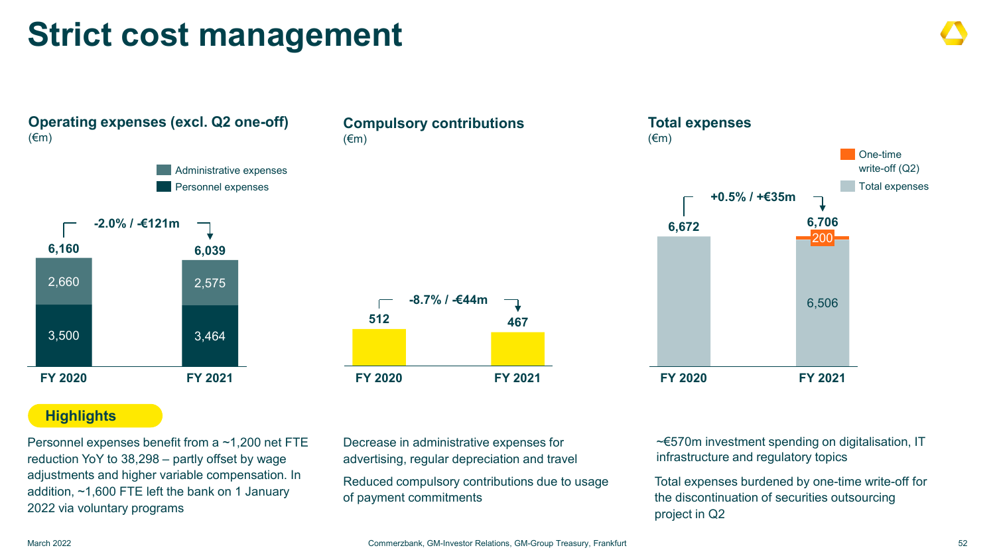### **Strict cost management**

**Operating expenses (excl. Q2 one-off)**  $(\epsilon m)$ **FY 2020 FY 2021 6,160 6,039** 2,660 3,500 2,575 3,464 **-2.0% / -€121m** Administrative expenses Personnel expenses

### **Compulsory contributions** (€m)



#### **Highlights**

Personnel expenses benefit from a ~1,200 net FTE reduction YoY to 38,298 – partly offset by wage adjustments and higher variable compensation. In addition, ~1,600 FTE left the bank on 1 January 2022 via voluntary programs

Decrease in administrative expenses for advertising, regular depreciation and travel

Reduced compulsory contributions due to usage of payment commitments



~€570m investment spending on digitalisation, IT infrastructure and regulatory topics

Total expenses burdened by one-time write-off for the discontinuation of securities outsourcing project in Q2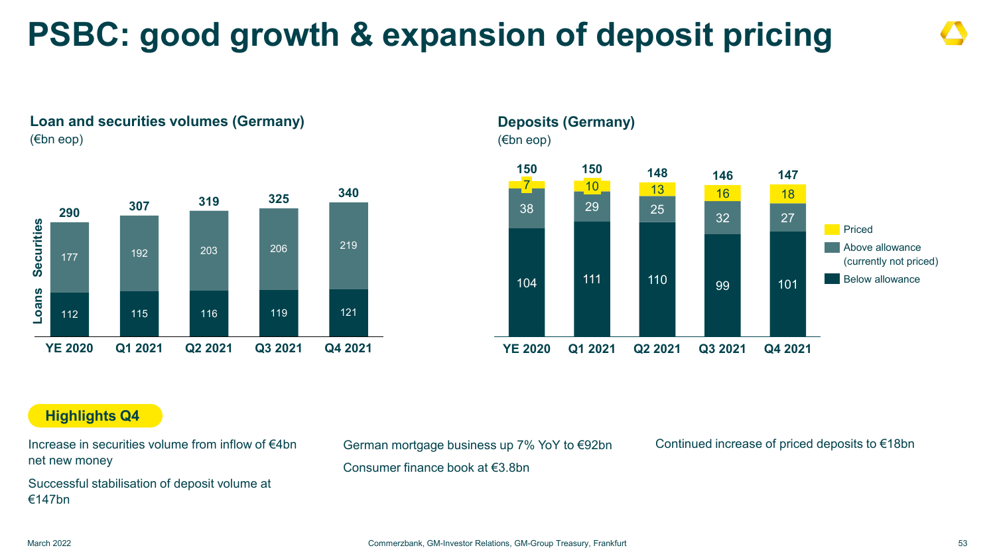## **PSBC: good growth & expansion of deposit pricing**





#### **Deposits (Germany)** (€bn eop) 104 111 110 99 101 <sup>38</sup> <sup>29</sup> <sup>25</sup> <sup>32</sup> <sup>27</sup> 13 16 18 7 **Q4 2021**  $10<sub>1</sub>$ **YE 2020 Q1 2021 Q2 2021 Q3 2021 <sup>150</sup> <sup>150</sup> <sup>148</sup> <sup>146</sup> <sup>147</sup>** Priced Above allowance (currently not priced) **Below allowance**

#### **Highlights Q4**

Increase in securities volume from inflow of €4bn net new money

Successful stabilisation of deposit volume at €147bn

German mortgage business up 7% YoY to €92bn Continued increase of priced deposits to €18bn

Consumer finance book at €3.8bn



March 2022 Commerzbank, GM-Investor Relations, GM-Group Treasury, Frankfurt 53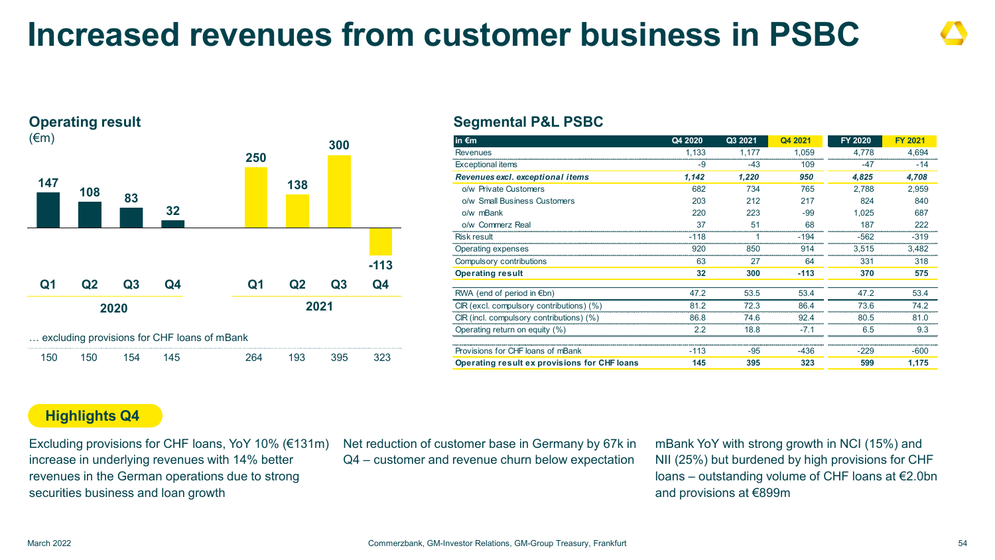### **Increased revenues from customer business in PSBC**



#### **2020 2021 Operating result**  $(\epsilon m)$ **147 <sup>108</sup> <sup>83</sup> 32 250 138 300 -113 Q1 Q2 Q3 Q4 Q1 Q2 Q3 Q4** … excluding provisions for CHF loans of mBank

| 150 | 150 |  | 264 | 93 | 395 |  |
|-----|-----|--|-----|----|-----|--|
|     |     |  |     |    |     |  |

#### **Segmental P&L PSBC**

| in $\epsilon$ m                              | Q4 2020 | Q3 2021 | Q4 2021 | FY 2020 | <b>FY 2021</b> |
|----------------------------------------------|---------|---------|---------|---------|----------------|
| Revenues                                     | 1,133   | 1,177   | 1.059   | 4,778   | 4,694          |
| <b>Exceptional items</b>                     | $-9$    | $-43$   | 109     | -47     | $-14$          |
| Revenues excl. exceptional items             | 1,142   | 1,220   | 950     | 4,825   | 4,708          |
| o/w Private Customers                        | 682     | 734     | 765     | 2.788   | 2,959          |
| o/w Small Business Customers                 | 203     | 212     | 217     | 824     | 840            |
| o/w mBank                                    | 220     | 223     | -99     | 1.025   | 687            |
| o/w Commerz Real                             | 37      | 51      | 68      | 187     | 222            |
| <b>Risk result</b>                           | -118    |         | -194    | -562    | $-319$         |
| Operating expenses                           | 920     | 850     | 914     | 3,515   | 3,482          |
| Compulsory contributions                     | 63      | 27      | 64      | 331     | 318            |
| <b>Operating result</b>                      | 32      | 300     | $-113$  | 370     | 575            |
| RWA (end of period in $\notin$ bn)           | 47.2    | 53.5    | 53.4    | 47.2    | 53.4           |
| CIR (excl. compulsory contributions) (%)     | 812     | 723     | 86.4    | 736     | 74.2           |
| CIR (incl. compulsory contributions) (%)     | 86.8    | 746     | 924     | 80.5    | 81.0           |
| Operating return on equity (%)               | 22      | 188     | $-71$   | 65      | 9.3            |
| Provisions for CHF loans of mBank            | $-113$  | $-95$   | -436    | $-229$  | -600           |
| Operating result ex provisions for CHF loans | 145     | 395     | 323     | 599     | 1.175          |

#### **Highlights Q4**

Excluding provisions for CHF loans, YoY 10% (€131m) increase in underlying revenues with 14% better revenues in the German operations due to strong securities business and loan growth

Net reduction of customer base in Germany by 67k in Q4 – customer and revenue churn below expectation

mBank YoY with strong growth in NCI (15%) and NII (25%) but burdened by high provisions for CHF loans – outstanding volume of CHF loans at €2.0bn and provisions at €899m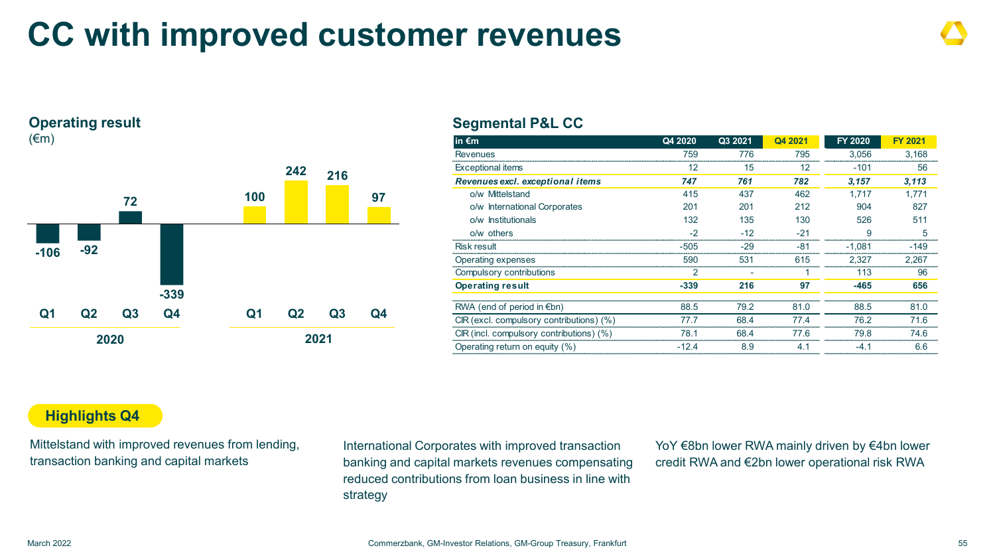### **CC with improved customer revenues**



#### **Segmental P&L CC**

| $\overline{\mathsf{in}}$ $\overline{\mathsf{em}}$ | Q4 2020 | Q3 2021 | Q4 2021 | <b>FY 2020</b> | <b>FY 2021</b> |
|---------------------------------------------------|---------|---------|---------|----------------|----------------|
| <b>Revenues</b>                                   | 759     | 776     | 795     | 3,056          | 3.168          |
| <b>Exceptional items</b>                          | 12      | 15      | 12      | $-101$         | 56             |
| Revenues excl. exceptional items                  | 747     | 761     | 782     | 3.157          | 3,113          |
| o/w Mittelstand                                   | 415     | 437     | 462     | 1.717          | 1.771          |
| o/w International Corporates                      | 201     | 201     | 212     | 904            | 827            |
| o/w Institutionals                                | 132     | 135     | 130     | 526            | 511            |
| $o/w$ others                                      |         | $-12$   | -21     | 9              |                |
| Risk result                                       | -505    | -29     | -81     | $-1.081$       | -149           |
| Operating expenses                                | 590     | 531     | 615     | 2.327          | 2.267          |
| Compulsory contributions                          | 2       |         |         | 113            | 96             |
| <b>Operating result</b>                           | $-339$  | 216     | 97      | $-465$         | 656            |
| RWA (end of period in $\notin$ bn)                | 88.5    | 79.2    | 81.0    | 88.5           | 81.0           |
| CIR (excl. compulsory contributions) (%)          | 77.7    | 68.4    | 77.4    | 76.2           | 71.6           |
| CIR (incl. compulsory contributions) (%)          | 78.1    | 68.4    | 77.6    | 79.8           | 74 R           |
| Operating return on equity (%)                    | -12.4   | 8.9     | 4.1     |                | 6.6            |

#### **Highlights Q4**

Mittelstand with improved revenues from lending, transaction banking and capital markets

International Corporates with improved transaction banking and capital markets revenues compensating reduced contributions from loan business in line with strategy

YoY €8bn lower RWA mainly driven by €4bn lower credit RWA and €2bn lower operational risk RWA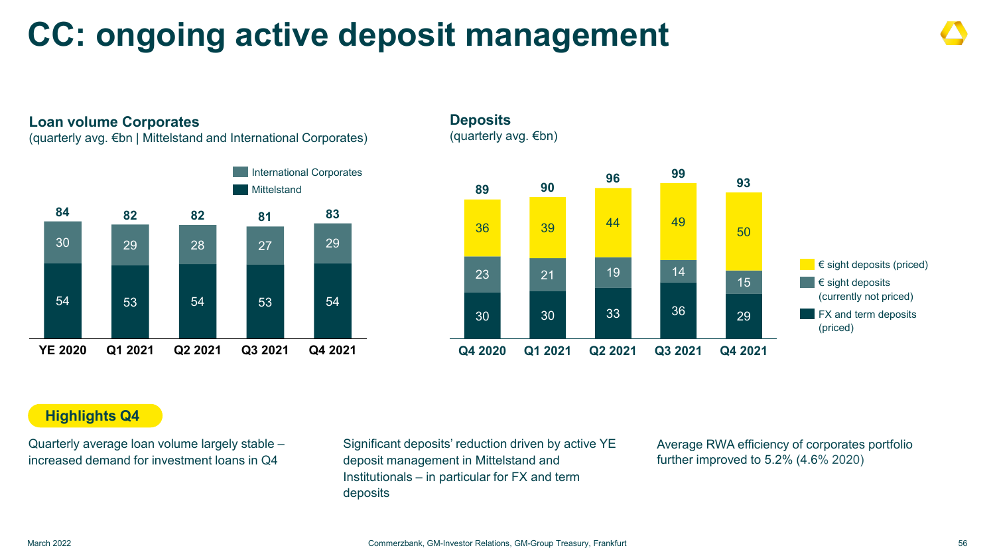### **CC: ongoing active deposit management**

#### **Loan volume Corporates**

(quarterly avg. €bn | Mittelstand and International Corporates)



**Deposits** (quarterly avg. €bn)



#### **Highlights Q4**

Quarterly average loan volume largely stable – increased demand for investment loans in Q4

Significant deposits' reduction driven by active YE deposit management in Mittelstand and Institutionals – in particular for FX and term deposits

Average RWA efficiency of corporates portfolio further improved to 5.2% (4.6% 2020)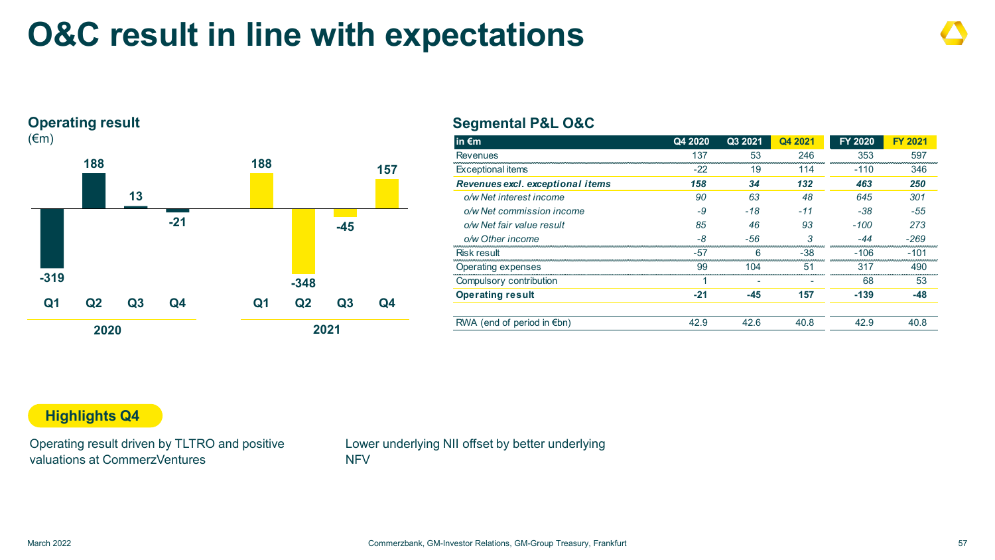### **O&C result in line with expectations**

#### **Operating result**



#### **Segmental P&L O&C**

| in $\epsilon$ m                    | Q4 2020 | Q3 2021 | Q4 2021 | <b>FY 2020</b> | <b>FY 2021</b> |
|------------------------------------|---------|---------|---------|----------------|----------------|
| Revenues                           | 137     | 53      | 246     | 353            | 597            |
| <b>Exceptional items</b>           | $-22$   | 19      | 114     | $-110$         | 346            |
| Revenues excl. exceptional items   | 158     | 34      | 132     | 463            | 250            |
| o/w Net interest income            | 90      | 63      | 48      | 645            | 301            |
| o/w Net commission income          | -9      | $-18$   | -11     | $-38$          | $-55$          |
| o/w Net fair value result          | 85      | 46      | 93      | $-100$         | 273            |
| o/w Other income                   | -8      | -56     | 3       | -44            | $-269$         |
| Risk result                        | -57     | 6       | $-38$   | $-106$         | $-101$         |
| Operating expenses                 | 99      | 104     | 51      | 317            | 490            |
| Compulsory contribution            |         |         |         | 68             | 53             |
| <b>Operating result</b>            | $-21$   | -45     | 157     | $-139$         | -48            |
| RWA (end of period in $\notin$ bn) | 42.9    | 42.6    | 40.8    | 42.9           | 40 R           |

#### **Highlights Q4**

Operating result driven by TLTRO and positive valuations at CommerzVentures

Lower underlying NII offset by better underlying **NFV**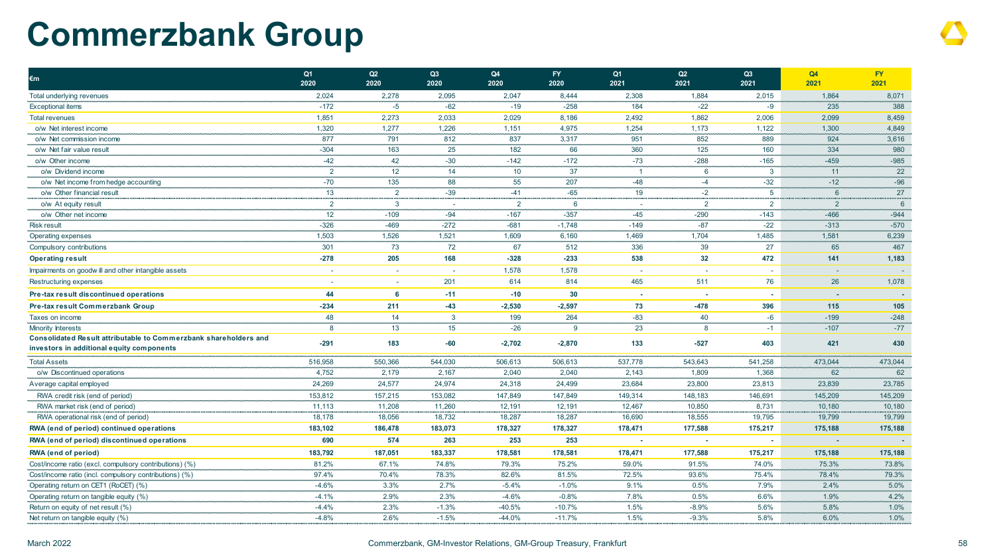### **Commerzbank Group**

| €m                                                                                                            | Q <sub>1</sub><br>2020 | Q2<br>2020     | Q3<br>2020 | Q4<br>2020     | <b>FY</b><br>2020 | Q <sub>1</sub><br>2021 | Q2<br>2021               | Q3<br>2021      | Q4<br>2021      | <b>FY</b><br>2021 |
|---------------------------------------------------------------------------------------------------------------|------------------------|----------------|------------|----------------|-------------------|------------------------|--------------------------|-----------------|-----------------|-------------------|
| Total underlying revenues                                                                                     | 2,024                  | 2,278          | 2,095      | 2,047          | 8,444             | 2,308                  | 1,884                    | 2,015           | 1,864           | 8,071             |
| <b>Exceptional items</b>                                                                                      | $-172$                 | $-5$           | $-62$      | $-19$          | $-258$            | 184                    | $-22$                    | -9              | 235             | 388               |
| <b>Total revenues</b>                                                                                         | 1,851                  | 2,273          | 2,033      | 2,029          | 8,186             | 2,492                  | 1,862                    | 2,006           | 2,099           | 8,459             |
| o/w Net interest income                                                                                       | 1,320                  | 1,277          | 1,226      | 1,151          | 4,975             | 1,254                  | 1,173                    | 1,122           | 1,300           | 4,849             |
| o/w Net commission income                                                                                     | 877                    | 791            | 812        | 837            | 3,317             | 951                    | 852                      | 889             | 924             | 3,616             |
| o/w Net fair value result                                                                                     | $-304$                 | 163            | 25         | 182            | 66                | 360                    | 125                      | 160             | 334             | 980               |
| o/w Other income                                                                                              | $-42$                  | 42             | $-30$      | $-142$         | $-172$            | $-73$                  | $-288$                   | $-165$          | $-459$          | $-985$            |
| o/w Dividend income                                                                                           | $\overline{2}$         | 12             | 14         | 10             | 37                |                        | 6                        | $\mathbf{3}$    | 11              | 22                |
| o/w Net income from hedge accounting                                                                          | $-70$                  | 135            | 88         | 55             | 207               | $-48$                  | $-4$                     | $-32$           | $-12$           | $-96$             |
| o/w Other financial result                                                                                    | 13                     | $\overline{2}$ | $-39$      | $-41$          | $-65$             | 19                     | $-2$                     | $5\overline{)}$ | $6\phantom{1}6$ | 27                |
| o/w At equity result                                                                                          | $\overline{2}$         | $\mathbf{3}$   |            | $\overline{2}$ | 6                 |                        | 2                        | $\overline{2}$  | $\overline{2}$  | $6\overline{6}$   |
| o/w Other net income                                                                                          | 12                     | $-109$         | $-94$      | $-167$         | $-357$            | $-45$                  | $-290$                   | $-143$          | $-466$          | $-944$            |
| <b>Risk result</b>                                                                                            | $-326$                 | $-469$         | $-272$     | $-681$         | $-1,748$          | $-149$                 | $-87$                    | $-22$           | $-313$          | $-570$            |
| Operating expenses                                                                                            | 1,503                  | 1,526          | 1,521      | 1,609          | 6,160             | 1,469                  | 1,704                    | 1,485           | 1,581           | 6,239             |
| Compulsory contributions                                                                                      | 301                    | 73             | 72         | 67             | 512               | 336                    | 39                       | 27              | 65              | 467               |
| <b>Operating result</b>                                                                                       | $-278$                 | 205            | 168        | $-328$         | $-233$            | 538                    | 32                       | 472             | 141             | 1,183             |
| Impairments on goodwill and other intangible assets                                                           | ÷.                     | $\sim$         |            | 1,578          | 1,578             |                        | $\overline{\phantom{a}}$ | $\sim$          |                 |                   |
| Restructuring expenses                                                                                        |                        | $\sim$         | 201        | 614            | 814               | 465                    | 511                      | 76              | 26              | 1,078             |
| Pre-tax result discontinued operations                                                                        | 44                     | 6              | $-11$      | $-10$          | 30                | $\sim$                 | ÷.                       | ×.              |                 |                   |
| Pre-tax result Commerzbank Group                                                                              | $-234$                 | 211            | $-43$      | $-2,530$       | $-2,597$          | 73                     | $-478$                   | 396             | 115             | 105               |
| Taxes on income                                                                                               | 48                     | 14             | 3          | 199            | 264               | $-83$                  | 40                       | -6              | $-199$          | $-248$            |
| Minority Interests                                                                                            | 8                      | 13             | 15         | $-26$          | $\mathbf{Q}$      | 23                     | 8                        | $-1$            | $-107$          | $-77$             |
| Consolidated Result attributable to Commerzbank shareholders and<br>investors in additional equity components | $-291$                 | 183            | -60        | -2,702         | $-2,870$          | 133                    | $-527$                   | 403             | 421             | 430               |
| <b>Total Assets</b>                                                                                           | 516,958                | 550,366        | 544,030    | 506,613        | 506,613           | 537,778                | 543,643                  | 541,258         | 473,044         | 473,044           |
| o/w Discontinued operations                                                                                   | 4,752                  | 2,179          | 2,167      | 2,040          | 2,040             | 2,143                  | 1,809                    | 1,368           | 62              | 62                |
| Average capital employed                                                                                      | 24,269                 | 24,577         | 24,974     | 24,318         | 24,499            | 23,684                 | 23,800                   | 23,813          | 23,839          | 23,785            |
| RWA credit risk (end of period)                                                                               | 153,812                | 157,215        | 153,082    | 147,849        | 147,849           | 149,314                | 148,183                  | 146,691         | 145,209         | 145,209           |
| RWA market risk (end of period)                                                                               | 11,113                 | 11,208         | 11,260     | 12,191         | 12,191            | 12,467                 | 10,850                   | 8,731           | 10,180          | 10,180            |
| RWA operational risk (end of period)                                                                          | 18,178                 | 18,056         | 18,732     | 18,287         | 18,287            | 16,690                 | 18,555                   | 19,795          | 19,799          | 19,799            |
| RWA (end of period) continued operations                                                                      | 183,102                | 186,478        | 183,073    | 178,327        | 178,327           | 178,471                | 177,588                  | 175,217         | 175,188         | 175,188           |
| RWA (end of period) discontinued operations                                                                   | 690                    | 574            | 263        | 253            | 253               |                        | ٠                        |                 |                 |                   |
| RWA (end of period)                                                                                           | 183,792                | 187,051        | 183,337    | 178,581        | 178,581           | 178,471                | 177,588                  | 175,217         | 175,188         | 175,188           |
| Cost/income ratio (excl. compulsory contributions) (%)                                                        | 81.2%                  | 67.1%          | 74.8%      | 79.3%          | 75.2%             | 59.0%                  | 91.5%                    | 74.0%           | 75.3%           | 73.8%             |
| Cost/income ratio (incl. compulsory contributions) (%)                                                        | 97.4%                  | 70.4%          | 78.3%      | 82.6%          | 81.5%             | 72.5%                  | 93.6%                    | 75.4%           | 78.4%           | 79.3%             |
| Operating return on CET1 (RoCET) (%)                                                                          | $-4.6%$                | 3.3%           | 2.7%       | $-5.4%$        | $-1.0%$           | 9.1%                   | 0.5%                     | 7.9%            | 2.4%            | 5.0%              |
| Operating return on tangible equity (%)                                                                       | $-4.1%$                | 2.9%           | 2.3%       | $-4.6%$        | $-0.8%$           | 7.8%                   | 0.5%                     | 6.6%            | 1.9%            | 4.2%              |
| Return on equity of net result (%)                                                                            | $-4.4%$                | 2.3%           | $-1.3%$    | $-40.5%$       | $-10.7%$          | 1.5%                   | $-8.9%$                  | 5.6%            | 5.8%            | 1.0%              |
| Net return on tangible equity (%)                                                                             | $-4.8%$                | 2.6%           | $-1.5%$    | $-44.0%$       | $-11.7%$          | 1.5%                   | $-9.3%$                  | 5.8%            | 6.0%            | 1.0%              |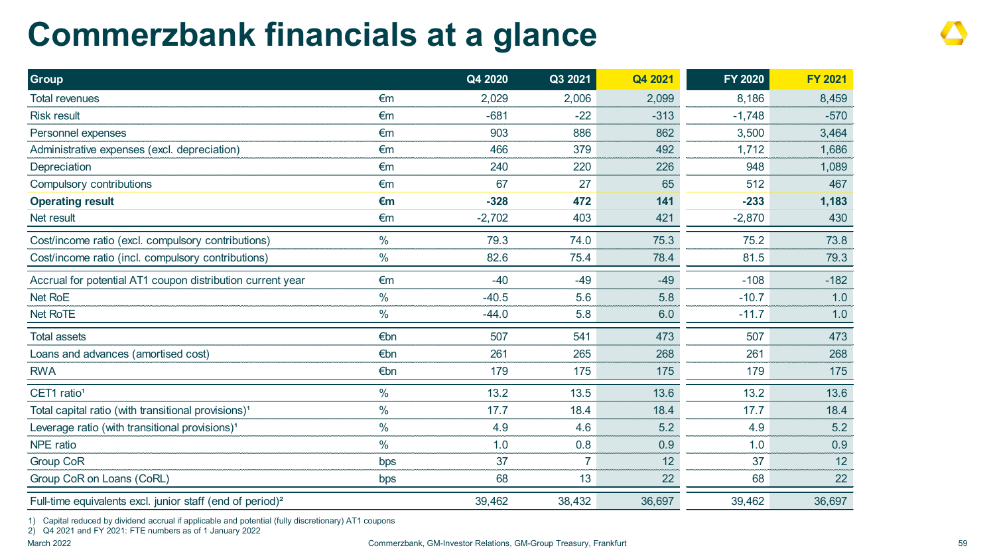### **Commerzbank financials at a glance**

| <b>Group</b>                                                          |               | Q4 2020  | Q3 2021        | Q4 2021 | <b>FY 2020</b> | <b>FY 2021</b> |
|-----------------------------------------------------------------------|---------------|----------|----------------|---------|----------------|----------------|
| <b>Total revenues</b>                                                 | €m            | 2,029    | 2,006          | 2,099   | 8,186          | 8,459          |
| <b>Risk result</b>                                                    | €m            | $-681$   | $-22$          | $-313$  | $-1,748$       | $-570$         |
| Personnel expenses                                                    | €m            | 903      | 886            | 862     | 3,500          | 3,464          |
| Administrative expenses (excl. depreciation)                          | €m            | 466      | 379            | 492     | 1,712          | 1,686          |
| Depreciation                                                          | €m            | 240      | 220            | 226     | 948            | 1,089          |
| Compulsory contributions                                              | €m            | 67       | 27             | 65      | 512            | 467            |
| <b>Operating result</b>                                               | $\epsilon$ m  | $-328$   | 472            | 141     | $-233$         | 1,183          |
| Net result                                                            | €m            | $-2,702$ | 403            | 421     | $-2,870$       | 430            |
| Cost/income ratio (excl. compulsory contributions)                    | $\frac{0}{0}$ | 79.3     | 74.0           | 75.3    | 75.2           | 73.8           |
| Cost/income ratio (incl. compulsory contributions)                    | $\frac{0}{0}$ | 82.6     | 75.4           | 78.4    | 81.5           | 79.3           |
| Accrual for potential AT1 coupon distribution current year            | €m            | $-40$    | $-49$          | $-49$   | $-108$         | $-182$         |
| <b>Net RoE</b>                                                        | $\frac{0}{0}$ | $-40.5$  | 5.6            | 5.8     | $-10.7$        | 1.0            |
| Net RoTE                                                              | $\frac{0}{0}$ | $-44.0$  | 5.8            | 6.0     | $-11.7$        | 1.0            |
| <b>Total assets</b>                                                   | €bn           | 507      | 541            | 473     | 507            | 473            |
| Loans and advances (amortised cost)                                   | €bn           | 261      | 265            | 268     | 261            | 268            |
| <b>RWA</b>                                                            | €bn           | 179      | 175            | 175     | 179            | 175            |
| CET1 ratio <sup>1</sup>                                               | $\frac{0}{0}$ | 13.2     | 13.5           | 13.6    | 13.2           | 13.6           |
| Total capital ratio (with transitional provisions) <sup>1</sup>       | $\frac{0}{0}$ | 17.7     | 18.4           | 18.4    | 17.7           | 18.4           |
| Leverage ratio (with transitional provisions) <sup>1</sup>            | $\frac{0}{0}$ | 4.9      | 4.6            | 5.2     | 4.9            | 5.2            |
| NPE ratio                                                             | $\frac{0}{0}$ | 1.0      | 0.8            | 0.9     | 1.0            | 0.9            |
| <b>Group CoR</b>                                                      | bps           | 37       | $\overline{7}$ | 12      | 37             | 12             |
| Group CoR on Loans (CoRL)                                             | bps           | 68       | 13             | 22      | 68             | 22             |
| Full-time equivalents excl. junior staff (end of period) <sup>2</sup> |               | 39,462   | 38,432         | 36,697  | 39,462         | 36,697         |

1) Capital reduced by dividend accrual if applicable and potential (fully discretionary) AT1 coupons

2) Q4 2021 and FY 2021: FTE numbers as of 1 January 2022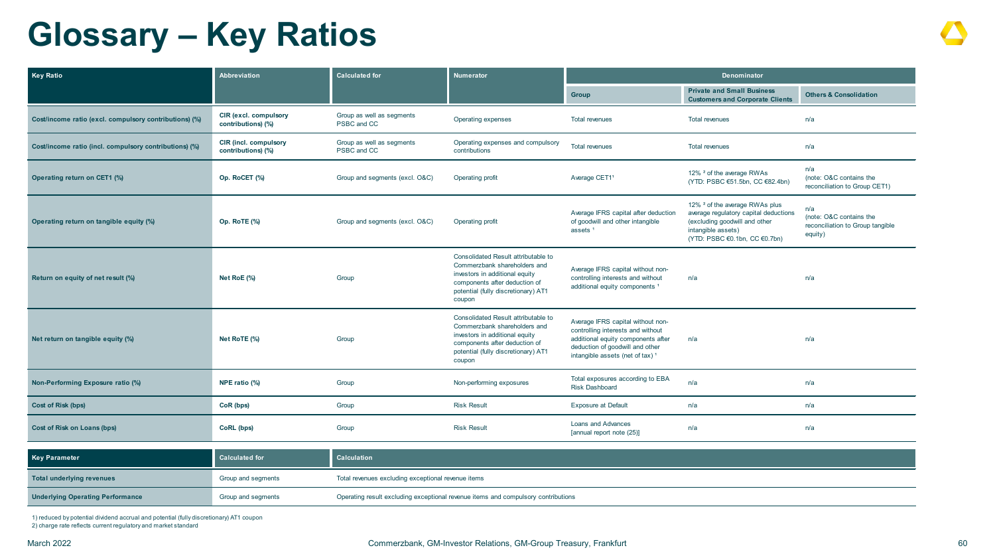### **Glossary – Key Ratios**

| Key Ratio                                              | Abbreviation                                | <b>Calculated for</b>                    | <b>Numerator</b>                                                                                                                                                                        | Denominator                                                                                                                                                                                    |                                                                                                                                                                            |                                                                               |
|--------------------------------------------------------|---------------------------------------------|------------------------------------------|-----------------------------------------------------------------------------------------------------------------------------------------------------------------------------------------|------------------------------------------------------------------------------------------------------------------------------------------------------------------------------------------------|----------------------------------------------------------------------------------------------------------------------------------------------------------------------------|-------------------------------------------------------------------------------|
|                                                        |                                             |                                          |                                                                                                                                                                                         | Group                                                                                                                                                                                          | <b>Private and Small Business</b><br><b>Customers and Corporate Clients</b>                                                                                                | <b>Others &amp; Consolidation</b>                                             |
| Cost/income ratio (excl. compulsory contributions) (%) | CIR (excl. compulsory<br>contributions) (%) | Group as well as segments<br>PSBC and CC | Operating expenses                                                                                                                                                                      | <b>Total revenues</b>                                                                                                                                                                          | <b>Total revenues</b>                                                                                                                                                      | n/a                                                                           |
| Cost/income ratio (incl. compulsory contributions) (%) | CIR (incl. compulsory<br>contributions) (%) | Group as well as segments<br>PSBC and CC | Operating expenses and compulsory<br>contributions                                                                                                                                      | <b>Total revenues</b><br><b>Total revenues</b>                                                                                                                                                 |                                                                                                                                                                            | n/a                                                                           |
| Operating return on CET1 (%)                           | Op. RoCET (%)                               | Group and segments (excl. O&C)           | Operating profit                                                                                                                                                                        | 12% <sup>2</sup> of the average RWAs<br>Average CET11<br>(YTD: PSBC €51.5bn, CC €82.4bn)                                                                                                       |                                                                                                                                                                            | n/a<br>(note: O&C contains the<br>reconciliation to Group CET1)               |
| Operating return on tangible equity (%)                | Op. RoTE (%)                                | Group and segments (excl. O&C)           | Operating profit                                                                                                                                                                        | Average IFRS capital after deduction<br>of goodwill and other intangible<br>assets <sup>1</sup>                                                                                                | 12% <sup>2</sup> of the average RWAs plus<br>average regulatory capital deductions<br>(excluding goodwill and other<br>intangible assets)<br>(YTD: PSBC €0.1bn, CC €0.7bn) | n/a<br>(note: O&C contains the<br>reconciliation to Group tangible<br>equity) |
| Return on equity of net result (%)                     | Net RoE (%)                                 | Group                                    | Consolidated Result attributable to<br>Commerzbank shareholders and<br>investors in additional equity<br>components after deduction of<br>potential (fully discretionary) AT1<br>coupon | Average IFRS capital without non-<br>controlling interests and without<br>additional equity components <sup>1</sup>                                                                            | n/a                                                                                                                                                                        | n/a                                                                           |
| Net return on tangible equity (%)                      | Net RoTE (%)                                | Group                                    | Consolidated Result attributable to<br>Commerzbank shareholders and<br>investors in additional equity<br>components after deduction of<br>potential (fully discretionary) AT1<br>coupon | Average IFRS capital without non-<br>controlling interests and without<br>additional equity components after<br>deduction of goodwill and other<br>intangible assets (net of tax) <sup>1</sup> | n/a                                                                                                                                                                        | n/a                                                                           |
| Non-Performing Exposure ratio (%)                      | NPE ratio (%)                               | Group                                    | Non-performing exposures                                                                                                                                                                | Total exposures according to EBA<br><b>Risk Dashboard</b>                                                                                                                                      | n/a                                                                                                                                                                        | n/a                                                                           |
| <b>Cost of Risk (bps)</b>                              | CoR (bps)                                   | Group                                    | <b>Risk Result</b>                                                                                                                                                                      | <b>Exposure at Default</b>                                                                                                                                                                     | n/a                                                                                                                                                                        | n/a                                                                           |
| Cost of Risk on Loans (bps)                            | CoRL (bps)                                  | Group                                    | <b>Risk Result</b>                                                                                                                                                                      | <b>Loans and Advances</b><br>[annual report note (25)]                                                                                                                                         | n/a                                                                                                                                                                        | n/a                                                                           |
|                                                        |                                             |                                          |                                                                                                                                                                                         |                                                                                                                                                                                                |                                                                                                                                                                            |                                                                               |

| <b>Key Parameter</b>                    | <b>Calculated for</b> | Calculation                                                                       |  |
|-----------------------------------------|-----------------------|-----------------------------------------------------------------------------------|--|
| Total underlying revenues               | Group and segments    | Total revenues excluding exceptional revenue items                                |  |
| <b>Underlying Operating Performance</b> | Group and segments    | Operating result excluding exceptional revenue items and compulsory contributions |  |

1) reduced by potential dividend accrual and potential (fully discretionary) AT1 coupon 2) charge rate reflects current regulatory and market standard